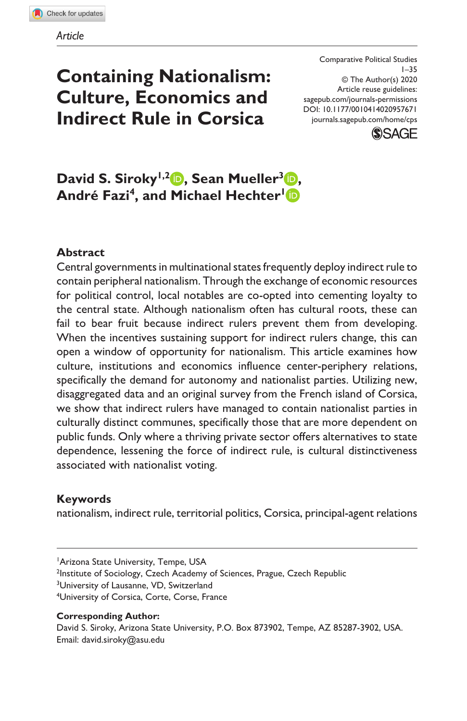# **Containing Nationalism: Culture, Economics and Indirect Rule in Corsica**

https://doi.org/10.1177/0010414020957671 DOI: 10.1177/0010414020957671 Comparative Political Studies 1–35 © The Author(s) 2020 Article reuse guidelines: [sagepub.com/journals-permissions](https://us.sagepub.com/en-us/journals-permissions) [journals.sagepub.com/home/cps](https://journals.sagepub.com/home/cps)



## **David S. Siroky<sup>1,2</sup> <b>b**, Sean Mueller<sup>3</sup> **b**, **André Fazi<sup>4</sup>, and Michael Hechter<sup>1</sup><sup>D</sup>**

## **Abstract**

Central governments in multinational states frequently deploy indirect rule to contain peripheral nationalism. Through the exchange of economic resources for political control, local notables are co-opted into cementing loyalty to the central state. Although nationalism often has cultural roots, these can fail to bear fruit because indirect rulers prevent them from developing. When the incentives sustaining support for indirect rulers change, this can open a window of opportunity for nationalism. This article examines how culture, institutions and economics influence center-periphery relations, specifically the demand for autonomy and nationalist parties. Utilizing new, disaggregated data and an original survey from the French island of Corsica, we show that indirect rulers have managed to contain nationalist parties in culturally distinct communes, specifically those that are more dependent on public funds. Only where a thriving private sector offers alternatives to state dependence, lessening the force of indirect rule, is cultural distinctiveness associated with nationalist voting.

## **Keywords**

nationalism, indirect rule, territorial politics, Corsica, principal-agent relations

<sup>3</sup>University of Lausanne, VD, Switzerland

4 University of Corsica, Corte, Corse, France

**Corresponding Author:**

David S. Siroky, Arizona State University, P.O. Box 873902, Tempe, AZ 85287-3902, USA. Email: [david.siroky@asu.edu](mailto:david.siroky@asu.edu)

<sup>&</sup>lt;sup>1</sup> Arizona State University, Tempe, USA

<sup>&</sup>lt;sup>2</sup>Institute of Sociology, Czech Academy of Sciences, Prague, Czech Republic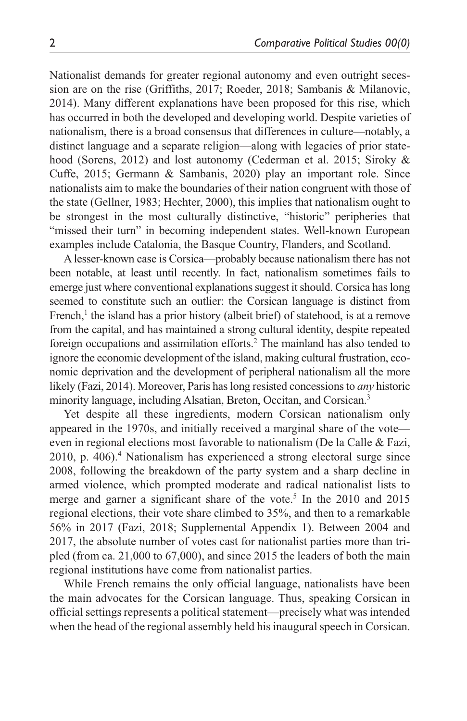Nationalist demands for greater regional autonomy and even outright secession are on the rise (Griffiths, 2017; Roeder, 2018; Sambanis & Milanovic, 2014). Many different explanations have been proposed for this rise, which has occurred in both the developed and developing world. Despite varieties of nationalism, there is a broad consensus that differences in culture—notably, a distinct language and a separate religion—along with legacies of prior statehood (Sorens, 2012) and lost autonomy (Cederman et al. 2015; Siroky & Cuffe, 2015; Germann & Sambanis, 2020) play an important role. Since nationalists aim to make the boundaries of their nation congruent with those of the state (Gellner, 1983; Hechter, 2000), this implies that nationalism ought to be strongest in the most culturally distinctive, "historic" peripheries that "missed their turn" in becoming independent states. Well-known European examples include Catalonia, the Basque Country, Flanders, and Scotland.

A lesser-known case is Corsica—probably because nationalism there has not been notable, at least until recently. In fact, nationalism sometimes fails to emerge just where conventional explanations suggest it should. Corsica has long seemed to constitute such an outlier: the Corsican language is distinct from French,<sup>1</sup> the island has a prior history (albeit brief) of statehood, is at a remove from the capital, and has maintained a strong cultural identity, despite repeated foreign occupations and assimilation efforts.<sup>2</sup> The mainland has also tended to ignore the economic development of the island, making cultural frustration, economic deprivation and the development of peripheral nationalism all the more likely (Fazi, 2014). Moreover, Paris has long resisted concessions to *any* historic minority language, including Alsatian, Breton, Occitan, and Corsican.<sup>3</sup>

Yet despite all these ingredients, modern Corsican nationalism only appeared in the 1970s, and initially received a marginal share of the vote even in regional elections most favorable to nationalism (De la Calle & Fazi, 2010, p. 406).<sup>4</sup> Nationalism has experienced a strong electoral surge since 2008, following the breakdown of the party system and a sharp decline in armed violence, which prompted moderate and radical nationalist lists to merge and garner a significant share of the vote.<sup>5</sup> In the 2010 and 2015 regional elections, their vote share climbed to 35%, and then to a remarkable 56% in 2017 (Fazi, 2018; Supplemental Appendix 1). Between 2004 and 2017, the absolute number of votes cast for nationalist parties more than tripled (from ca. 21,000 to 67,000), and since 2015 the leaders of both the main regional institutions have come from nationalist parties.

While French remains the only official language, nationalists have been the main advocates for the Corsican language. Thus, speaking Corsican in official settings represents a political statement—precisely what was intended when the head of the regional assembly held his inaugural speech in Corsican.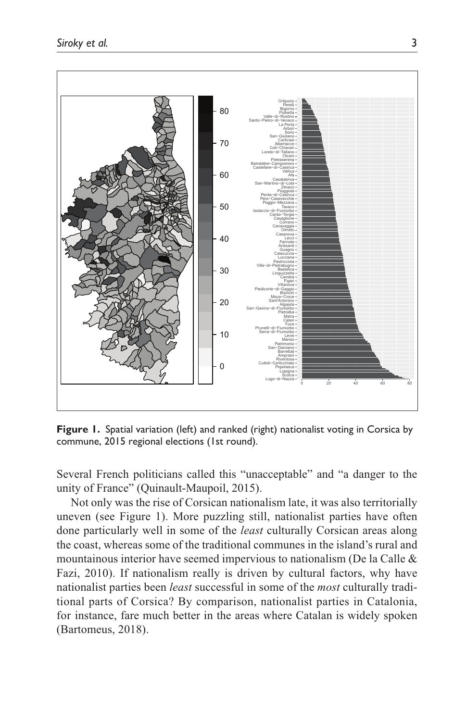

**Figure 1.** Spatial variation (left) and ranked (right) nationalist voting in Corsica by commune, 2015 regional elections (1st round).

Several French politicians called this "unacceptable" and "a danger to the unity of France" (Quinault-Maupoil, 2015).

Not only was the rise of Corsican nationalism late, it was also territorially uneven (see Figure 1). More puzzling still, nationalist parties have often done particularly well in some of the *least* culturally Corsican areas along the coast, whereas some of the traditional communes in the island's rural and mountainous interior have seemed impervious to nationalism (De la Calle & Fazi, 2010). If nationalism really is driven by cultural factors, why have nationalist parties been *least* successful in some of the *most* culturally traditional parts of Corsica? By comparison, nationalist parties in Catalonia, for instance, fare much better in the areas where Catalan is widely spoken (Bartomeus, 2018).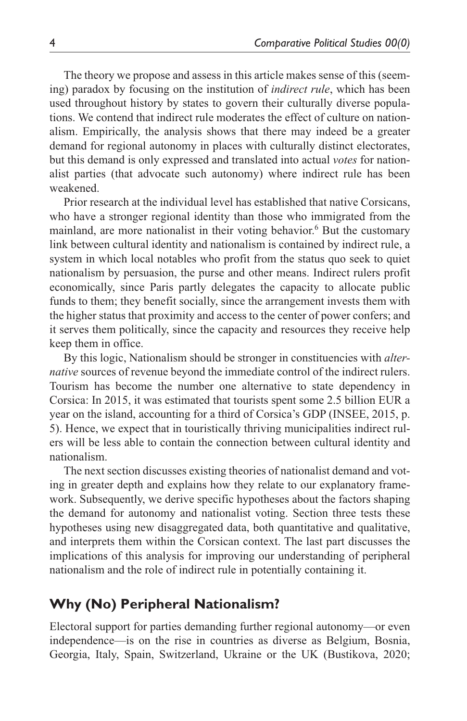The theory we propose and assess in this article makes sense of this (seeming) paradox by focusing on the institution of *indirect rule*, which has been used throughout history by states to govern their culturally diverse populations. We contend that indirect rule moderates the effect of culture on nationalism. Empirically, the analysis shows that there may indeed be a greater demand for regional autonomy in places with culturally distinct electorates, but this demand is only expressed and translated into actual *votes* for nationalist parties (that advocate such autonomy) where indirect rule has been weakened.

Prior research at the individual level has established that native Corsicans, who have a stronger regional identity than those who immigrated from the mainland, are more nationalist in their voting behavior.<sup>6</sup> But the customary link between cultural identity and nationalism is contained by indirect rule, a system in which local notables who profit from the status quo seek to quiet nationalism by persuasion, the purse and other means. Indirect rulers profit economically, since Paris partly delegates the capacity to allocate public funds to them; they benefit socially, since the arrangement invests them with the higher status that proximity and access to the center of power confers; and it serves them politically, since the capacity and resources they receive help keep them in office.

By this logic, Nationalism should be stronger in constituencies with *alternative* sources of revenue beyond the immediate control of the indirect rulers. Tourism has become the number one alternative to state dependency in Corsica: In 2015, it was estimated that tourists spent some 2.5 billion EUR a year on the island, accounting for a third of Corsica's GDP (INSEE, 2015, p. 5). Hence, we expect that in touristically thriving municipalities indirect rulers will be less able to contain the connection between cultural identity and nationalism.

The next section discusses existing theories of nationalist demand and voting in greater depth and explains how they relate to our explanatory framework. Subsequently, we derive specific hypotheses about the factors shaping the demand for autonomy and nationalist voting. Section three tests these hypotheses using new disaggregated data, both quantitative and qualitative, and interprets them within the Corsican context. The last part discusses the implications of this analysis for improving our understanding of peripheral nationalism and the role of indirect rule in potentially containing it.

## **Why (No) Peripheral Nationalism?**

Electoral support for parties demanding further regional autonomy—or even independence—is on the rise in countries as diverse as Belgium, Bosnia, Georgia, Italy, Spain, Switzerland, Ukraine or the UK (Bustikova, 2020;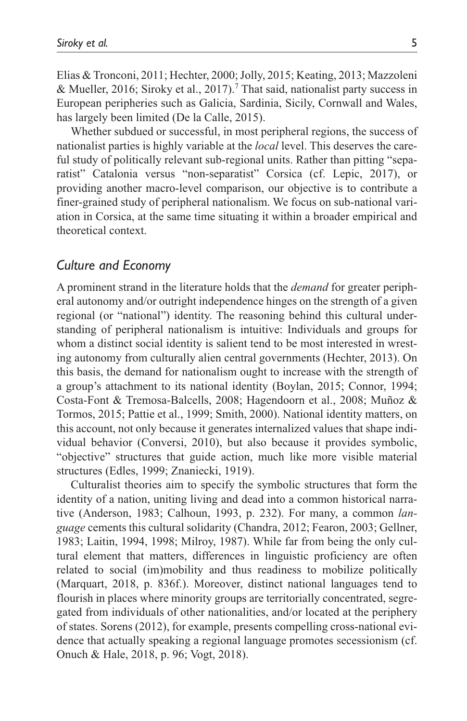Elias & Tronconi, 2011; Hechter, 2000; Jolly, 2015; Keating, 2013; Mazzoleni & Mueller, 2016; Siroky et al., 2017).<sup>7</sup> That said, nationalist party success in European peripheries such as Galicia, Sardinia, Sicily, Cornwall and Wales, has largely been limited (De la Calle, 2015).

Whether subdued or successful, in most peripheral regions, the success of nationalist parties is highly variable at the *local* level. This deserves the careful study of politically relevant sub-regional units. Rather than pitting "separatist" Catalonia versus "non-separatist" Corsica (cf. Lepic, 2017), or providing another macro-level comparison, our objective is to contribute a finer-grained study of peripheral nationalism. We focus on sub-national variation in Corsica, at the same time situating it within a broader empirical and theoretical context.

## *Culture and Economy*

A prominent strand in the literature holds that the *demand* for greater peripheral autonomy and/or outright independence hinges on the strength of a given regional (or "national") identity. The reasoning behind this cultural understanding of peripheral nationalism is intuitive: Individuals and groups for whom a distinct social identity is salient tend to be most interested in wresting autonomy from culturally alien central governments (Hechter, 2013). On this basis, the demand for nationalism ought to increase with the strength of a group's attachment to its national identity (Boylan, 2015; Connor, 1994; Costa-Font & Tremosa-Balcells, 2008; Hagendoorn et al., 2008; Muñoz & Tormos, 2015; Pattie et al., 1999; Smith, 2000). National identity matters, on this account, not only because it generates internalized values that shape individual behavior (Conversi, 2010), but also because it provides symbolic, "objective" structures that guide action, much like more visible material structures (Edles, 1999; Znaniecki, 1919).

Culturalist theories aim to specify the symbolic structures that form the identity of a nation, uniting living and dead into a common historical narrative (Anderson, 1983; Calhoun, 1993, p. 232). For many, a common *language* cements this cultural solidarity (Chandra, 2012; Fearon, 2003; Gellner, 1983; Laitin, 1994, 1998; Milroy, 1987). While far from being the only cultural element that matters, differences in linguistic proficiency are often related to social (im)mobility and thus readiness to mobilize politically (Marquart, 2018, p. 836f.). Moreover, distinct national languages tend to flourish in places where minority groups are territorially concentrated, segregated from individuals of other nationalities, and/or located at the periphery of states. Sorens (2012), for example, presents compelling cross-national evidence that actually speaking a regional language promotes secessionism (cf. Onuch & Hale, 2018, p. 96; Vogt, 2018).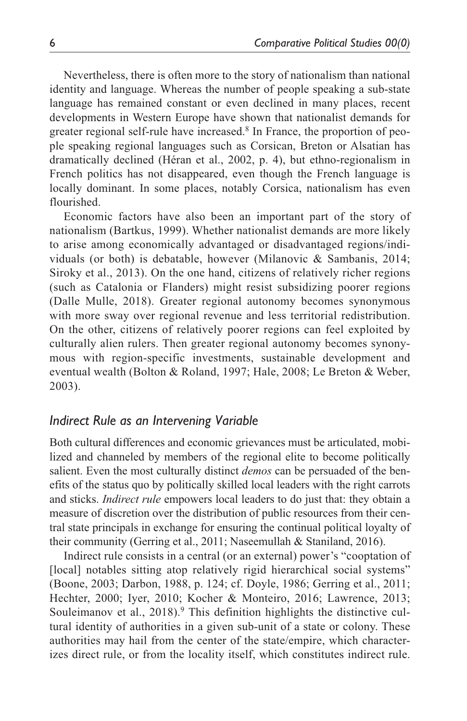Nevertheless, there is often more to the story of nationalism than national identity and language. Whereas the number of people speaking a sub-state language has remained constant or even declined in many places, recent developments in Western Europe have shown that nationalist demands for greater regional self-rule have increased.<sup>8</sup> In France, the proportion of people speaking regional languages such as Corsican, Breton or Alsatian has dramatically declined (Héran et al., 2002, p. 4), but ethno-regionalism in French politics has not disappeared, even though the French language is locally dominant. In some places, notably Corsica, nationalism has even flourished.

Economic factors have also been an important part of the story of nationalism (Bartkus, 1999). Whether nationalist demands are more likely to arise among economically advantaged or disadvantaged regions/individuals (or both) is debatable, however (Milanovic & Sambanis, 2014; Siroky et al., 2013). On the one hand, citizens of relatively richer regions (such as Catalonia or Flanders) might resist subsidizing poorer regions (Dalle Mulle, 2018). Greater regional autonomy becomes synonymous with more sway over regional revenue and less territorial redistribution. On the other, citizens of relatively poorer regions can feel exploited by culturally alien rulers. Then greater regional autonomy becomes synonymous with region-specific investments, sustainable development and eventual wealth (Bolton & Roland, 1997; Hale, 2008; Le Breton & Weber, 2003).

## *Indirect Rule as an Intervening Variable*

Both cultural differences and economic grievances must be articulated, mobilized and channeled by members of the regional elite to become politically salient. Even the most culturally distinct *demos* can be persuaded of the benefits of the status quo by politically skilled local leaders with the right carrots and sticks. *Indirect rule* empowers local leaders to do just that: they obtain a measure of discretion over the distribution of public resources from their central state principals in exchange for ensuring the continual political loyalty of their community (Gerring et al., 2011; Naseemullah & Staniland, 2016).

Indirect rule consists in a central (or an external) power's "cooptation of [local] notables sitting atop relatively rigid hierarchical social systems" (Boone, 2003; Darbon, 1988, p. 124; cf. Doyle, 1986; Gerring et al., 2011; Hechter, 2000; Iyer, 2010; Kocher & Monteiro, 2016; Lawrence, 2013; Souleimanov et al., 2018).<sup>9</sup> This definition highlights the distinctive cultural identity of authorities in a given sub-unit of a state or colony. These authorities may hail from the center of the state/empire, which characterizes direct rule, or from the locality itself, which constitutes indirect rule.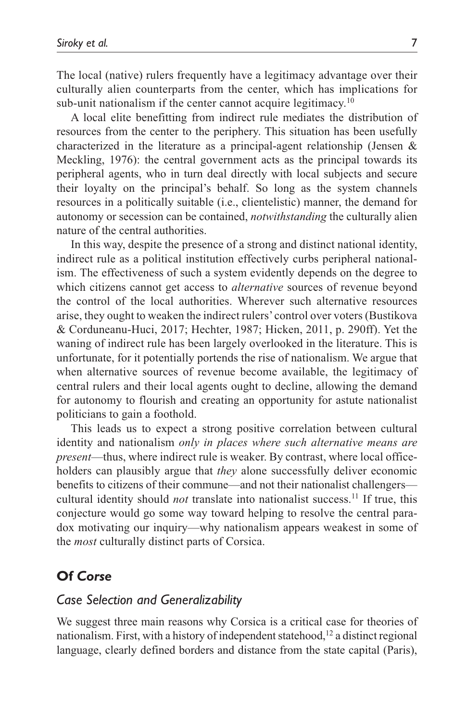The local (native) rulers frequently have a legitimacy advantage over their culturally alien counterparts from the center, which has implications for sub-unit nationalism if the center cannot acquire legitimacy.<sup>10</sup>

A local elite benefitting from indirect rule mediates the distribution of resources from the center to the periphery. This situation has been usefully characterized in the literature as a principal-agent relationship (Jensen & Meckling, 1976): the central government acts as the principal towards its peripheral agents, who in turn deal directly with local subjects and secure their loyalty on the principal's behalf. So long as the system channels resources in a politically suitable (i.e., clientelistic) manner, the demand for autonomy or secession can be contained, *notwithstanding* the culturally alien nature of the central authorities.

In this way, despite the presence of a strong and distinct national identity, indirect rule as a political institution effectively curbs peripheral nationalism. The effectiveness of such a system evidently depends on the degree to which citizens cannot get access to *alternative* sources of revenue beyond the control of the local authorities. Wherever such alternative resources arise, they ought to weaken the indirect rulers' control over voters (Bustikova & Corduneanu-Huci, 2017; Hechter, 1987; Hicken, 2011, p. 290ff). Yet the waning of indirect rule has been largely overlooked in the literature. This is unfortunate, for it potentially portends the rise of nationalism. We argue that when alternative sources of revenue become available, the legitimacy of central rulers and their local agents ought to decline, allowing the demand for autonomy to flourish and creating an opportunity for astute nationalist politicians to gain a foothold.

This leads us to expect a strong positive correlation between cultural identity and nationalism *only in places where such alternative means are present*—thus, where indirect rule is weaker. By contrast, where local officeholders can plausibly argue that *they* alone successfully deliver economic benefits to citizens of their commune—and not their nationalist challengers cultural identity should *not* translate into nationalist success.<sup>11</sup> If true, this conjecture would go some way toward helping to resolve the central paradox motivating our inquiry—why nationalism appears weakest in some of the *most* culturally distinct parts of Corsica.

## **Of** *Corse*

### *Case Selection and Generalizability*

We suggest three main reasons why Corsica is a critical case for theories of nationalism. First, with a history of independent statehood,<sup>12</sup> a distinct regional language, clearly defined borders and distance from the state capital (Paris),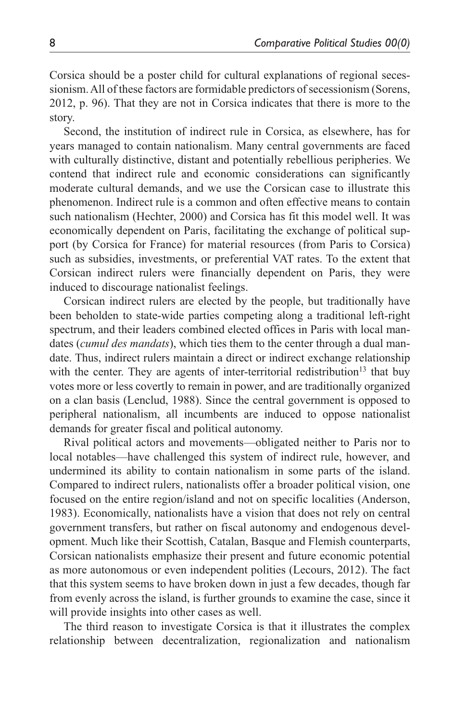Corsica should be a poster child for cultural explanations of regional secessionism. All of these factors are formidable predictors of secessionism (Sorens, 2012, p. 96). That they are not in Corsica indicates that there is more to the story.

Second, the institution of indirect rule in Corsica, as elsewhere, has for years managed to contain nationalism. Many central governments are faced with culturally distinctive, distant and potentially rebellious peripheries. We contend that indirect rule and economic considerations can significantly moderate cultural demands, and we use the Corsican case to illustrate this phenomenon. Indirect rule is a common and often effective means to contain such nationalism (Hechter, 2000) and Corsica has fit this model well. It was economically dependent on Paris, facilitating the exchange of political support (by Corsica for France) for material resources (from Paris to Corsica) such as subsidies, investments, or preferential VAT rates. To the extent that Corsican indirect rulers were financially dependent on Paris, they were induced to discourage nationalist feelings.

Corsican indirect rulers are elected by the people, but traditionally have been beholden to state-wide parties competing along a traditional left-right spectrum, and their leaders combined elected offices in Paris with local mandates (*cumul des mandats*), which ties them to the center through a dual mandate. Thus, indirect rulers maintain a direct or indirect exchange relationship with the center. They are agents of inter-territorial redistribution<sup>13</sup> that buy votes more or less covertly to remain in power, and are traditionally organized on a clan basis (Lenclud, 1988). Since the central government is opposed to peripheral nationalism, all incumbents are induced to oppose nationalist demands for greater fiscal and political autonomy.

Rival political actors and movements—obligated neither to Paris nor to local notables—have challenged this system of indirect rule, however, and undermined its ability to contain nationalism in some parts of the island. Compared to indirect rulers, nationalists offer a broader political vision, one focused on the entire region/island and not on specific localities (Anderson, 1983). Economically, nationalists have a vision that does not rely on central government transfers, but rather on fiscal autonomy and endogenous development. Much like their Scottish, Catalan, Basque and Flemish counterparts, Corsican nationalists emphasize their present and future economic potential as more autonomous or even independent polities (Lecours, 2012). The fact that this system seems to have broken down in just a few decades, though far from evenly across the island, is further grounds to examine the case, since it will provide insights into other cases as well.

The third reason to investigate Corsica is that it illustrates the complex relationship between decentralization, regionalization and nationalism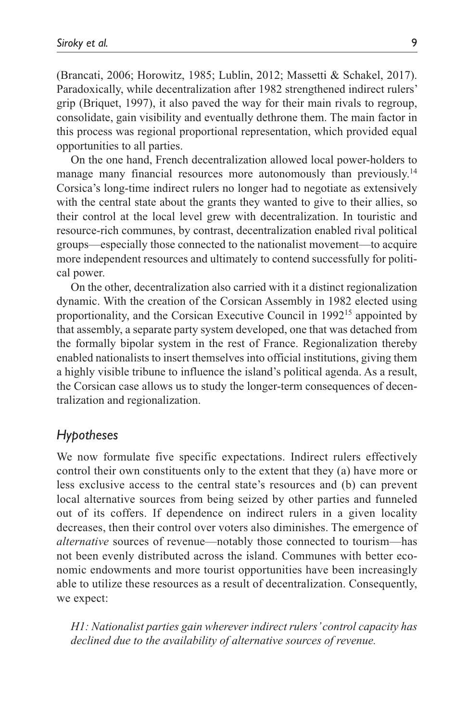(Brancati, 2006; Horowitz, 1985; Lublin, 2012; Massetti & Schakel, 2017). Paradoxically, while decentralization after 1982 strengthened indirect rulers' grip (Briquet, 1997), it also paved the way for their main rivals to regroup, consolidate, gain visibility and eventually dethrone them. The main factor in this process was regional proportional representation, which provided equal opportunities to all parties.

On the one hand, French decentralization allowed local power-holders to manage many financial resources more autonomously than previously.<sup>14</sup> Corsica's long-time indirect rulers no longer had to negotiate as extensively with the central state about the grants they wanted to give to their allies, so their control at the local level grew with decentralization. In touristic and resource-rich communes, by contrast, decentralization enabled rival political groups—especially those connected to the nationalist movement—to acquire more independent resources and ultimately to contend successfully for political power.

On the other, decentralization also carried with it a distinct regionalization dynamic. With the creation of the Corsican Assembly in 1982 elected using proportionality, and the Corsican Executive Council in 199215 appointed by that assembly, a separate party system developed, one that was detached from the formally bipolar system in the rest of France. Regionalization thereby enabled nationalists to insert themselves into official institutions, giving them a highly visible tribune to influence the island's political agenda. As a result, the Corsican case allows us to study the longer-term consequences of decentralization and regionalization.

## *Hypotheses*

We now formulate five specific expectations. Indirect rulers effectively control their own constituents only to the extent that they (a) have more or less exclusive access to the central state's resources and (b) can prevent local alternative sources from being seized by other parties and funneled out of its coffers. If dependence on indirect rulers in a given locality decreases, then their control over voters also diminishes. The emergence of *alternative* sources of revenue—notably those connected to tourism—has not been evenly distributed across the island. Communes with better economic endowments and more tourist opportunities have been increasingly able to utilize these resources as a result of decentralization. Consequently, we expect:

*H1: Nationalist parties gain wherever indirect rulers' control capacity has declined due to the availability of alternative sources of revenue.*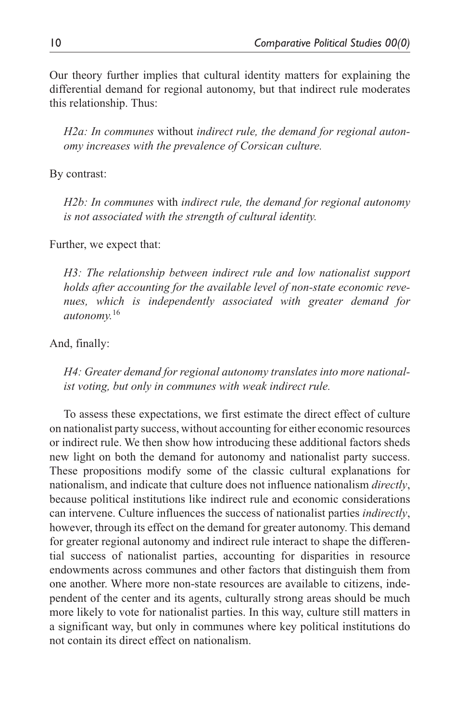Our theory further implies that cultural identity matters for explaining the differential demand for regional autonomy, but that indirect rule moderates this relationship. Thus:

*H2a: In communes* without *indirect rule, the demand for regional autonomy increases with the prevalence of Corsican culture.*

By contrast:

*H2b: In communes* with *indirect rule, the demand for regional autonomy is not associated with the strength of cultural identity.*

Further, we expect that:

*H3: The relationship between indirect rule and low nationalist support holds after accounting for the available level of non-state economic revenues, which is independently associated with greater demand for autonomy.*<sup>16</sup>

And, finally:

*H4: Greater demand for regional autonomy translates into more nationalist voting, but only in communes with weak indirect rule.*

To assess these expectations, we first estimate the direct effect of culture on nationalist party success, without accounting for either economic resources or indirect rule. We then show how introducing these additional factors sheds new light on both the demand for autonomy and nationalist party success. These propositions modify some of the classic cultural explanations for nationalism, and indicate that culture does not influence nationalism *directly*, because political institutions like indirect rule and economic considerations can intervene. Culture influences the success of nationalist parties *indirectly*, however, through its effect on the demand for greater autonomy. This demand for greater regional autonomy and indirect rule interact to shape the differential success of nationalist parties, accounting for disparities in resource endowments across communes and other factors that distinguish them from one another. Where more non-state resources are available to citizens, independent of the center and its agents, culturally strong areas should be much more likely to vote for nationalist parties. In this way, culture still matters in a significant way, but only in communes where key political institutions do not contain its direct effect on nationalism.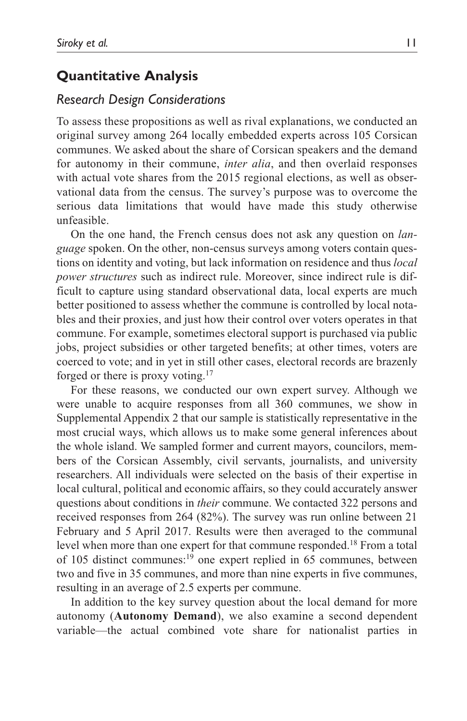## **Quantitative Analysis**

#### *Research Design Considerations*

To assess these propositions as well as rival explanations, we conducted an original survey among 264 locally embedded experts across 105 Corsican communes. We asked about the share of Corsican speakers and the demand for autonomy in their commune, *inter alia*, and then overlaid responses with actual vote shares from the 2015 regional elections, as well as observational data from the census. The survey's purpose was to overcome the serious data limitations that would have made this study otherwise unfeasible.

On the one hand, the French census does not ask any question on *language* spoken. On the other, non-census surveys among voters contain questions on identity and voting, but lack information on residence and thus *local power structures* such as indirect rule. Moreover, since indirect rule is difficult to capture using standard observational data, local experts are much better positioned to assess whether the commune is controlled by local notables and their proxies, and just how their control over voters operates in that commune. For example, sometimes electoral support is purchased via public jobs, project subsidies or other targeted benefits; at other times, voters are coerced to vote; and in yet in still other cases, electoral records are brazenly forged or there is proxy voting.17

For these reasons, we conducted our own expert survey. Although we were unable to acquire responses from all 360 communes, we show in Supplemental Appendix 2 that our sample is statistically representative in the most crucial ways, which allows us to make some general inferences about the whole island. We sampled former and current mayors, councilors, members of the Corsican Assembly, civil servants, journalists, and university researchers. All individuals were selected on the basis of their expertise in local cultural, political and economic affairs, so they could accurately answer questions about conditions in *their* commune. We contacted 322 persons and received responses from 264 (82%). The survey was run online between 21 February and 5 April 2017. Results were then averaged to the communal level when more than one expert for that commune responded.18 From a total of 105 distinct communes:19 one expert replied in 65 communes, between two and five in 35 communes, and more than nine experts in five communes, resulting in an average of 2.5 experts per commune.

In addition to the key survey question about the local demand for more autonomy (**Autonomy Demand**), we also examine a second dependent variable—the actual combined vote share for nationalist parties in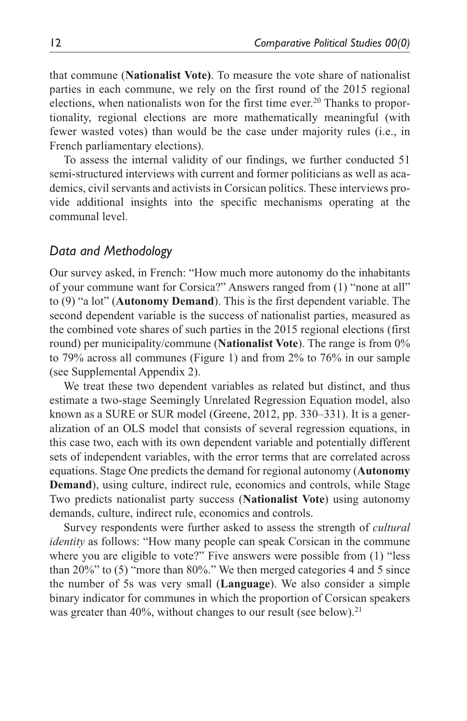that commune (**Nationalist Vote)**. To measure the vote share of nationalist parties in each commune, we rely on the first round of the 2015 regional elections, when nationalists won for the first time ever.<sup>20</sup> Thanks to proportionality, regional elections are more mathematically meaningful (with fewer wasted votes) than would be the case under majority rules (i.e., in French parliamentary elections).

To assess the internal validity of our findings, we further conducted 51 semi-structured interviews with current and former politicians as well as academics, civil servants and activists in Corsican politics. These interviews provide additional insights into the specific mechanisms operating at the communal level.

## *Data and Methodology*

Our survey asked, in French: "How much more autonomy do the inhabitants of your commune want for Corsica?" Answers ranged from (1) "none at all" to (9) "a lot" (**Autonomy Demand**). This is the first dependent variable. The second dependent variable is the success of nationalist parties, measured as the combined vote shares of such parties in the 2015 regional elections (first round) per municipality/commune (**Nationalist Vote**). The range is from 0% to 79% across all communes (Figure 1) and from 2% to 76% in our sample (see Supplemental Appendix 2).

We treat these two dependent variables as related but distinct, and thus estimate a two-stage Seemingly Unrelated Regression Equation model, also known as a SURE or SUR model (Greene, 2012, pp. 330–331). It is a generalization of an OLS model that consists of several regression equations, in this case two, each with its own dependent variable and potentially different sets of independent variables, with the error terms that are correlated across equations. Stage One predicts the demand for regional autonomy (**Autonomy Demand**), using culture, indirect rule, economics and controls, while Stage Two predicts nationalist party success (**Nationalist Vote**) using autonomy demands, culture, indirect rule, economics and controls.

Survey respondents were further asked to assess the strength of *cultural identity* as follows: "How many people can speak Corsican in the commune where you are eligible to vote?" Five answers were possible from (1) "less than 20%" to (5) "more than 80%." We then merged categories 4 and 5 since the number of 5s was very small (**Language**). We also consider a simple binary indicator for communes in which the proportion of Corsican speakers was greater than 40%, without changes to our result (see below).<sup>21</sup>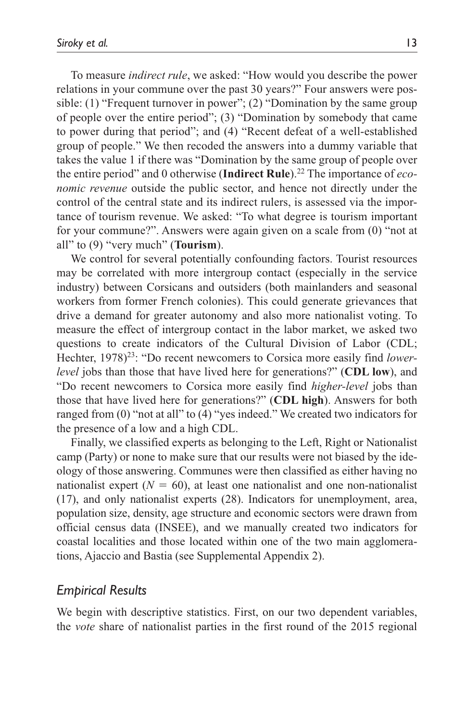To measure *indirect rule*, we asked: "How would you describe the power relations in your commune over the past 30 years?" Four answers were possible: (1) "Frequent turnover in power"; (2) "Domination by the same group of people over the entire period"; (3) "Domination by somebody that came to power during that period"; and (4) "Recent defeat of a well-established group of people." We then recoded the answers into a dummy variable that takes the value 1 if there was "Domination by the same group of people over the entire period" and 0 otherwise (**Indirect Rule**).<sup>22</sup> The importance of *economic revenue* outside the public sector, and hence not directly under the control of the central state and its indirect rulers, is assessed via the importance of tourism revenue. We asked: "To what degree is tourism important for your commune?". Answers were again given on a scale from (0) "not at all" to (9) "very much" (**Tourism**).

We control for several potentially confounding factors. Tourist resources may be correlated with more intergroup contact (especially in the service industry) between Corsicans and outsiders (both mainlanders and seasonal workers from former French colonies). This could generate grievances that drive a demand for greater autonomy and also more nationalist voting. To measure the effect of intergroup contact in the labor market, we asked two questions to create indicators of the Cultural Division of Labor (CDL; Hechter, 1978)<sup>23</sup>: "Do recent newcomers to Corsica more easily find *lowerlevel* jobs than those that have lived here for generations?" (**CDL low**), and "Do recent newcomers to Corsica more easily find *higher-level* jobs than those that have lived here for generations?" (**CDL high**). Answers for both ranged from (0) "not at all" to (4) "yes indeed." We created two indicators for the presence of a low and a high CDL.

Finally, we classified experts as belonging to the Left, Right or Nationalist camp (Party) or none to make sure that our results were not biased by the ideology of those answering. Communes were then classified as either having no nationalist expert  $(N = 60)$ , at least one nationalist and one non-nationalist (17), and only nationalist experts (28). Indicators for unemployment, area, population size, density, age structure and economic sectors were drawn from official census data (INSEE), and we manually created two indicators for coastal localities and those located within one of the two main agglomerations, Ajaccio and Bastia (see Supplemental Appendix 2).

### *Empirical Results*

We begin with descriptive statistics. First, on our two dependent variables, the *vote* share of nationalist parties in the first round of the 2015 regional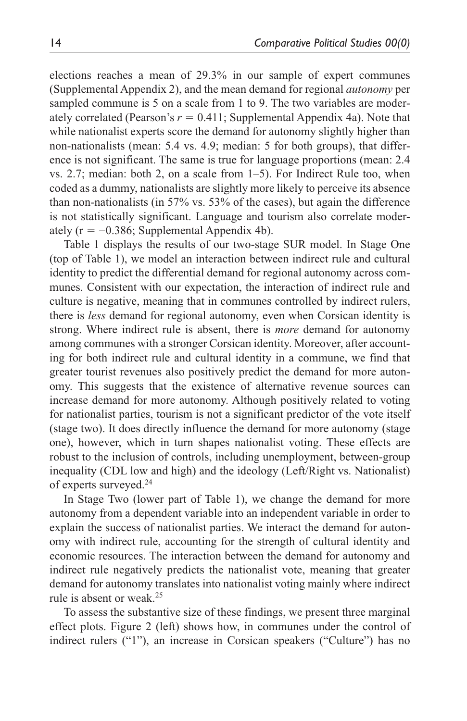elections reaches a mean of 29.3% in our sample of expert communes (Supplemental Appendix 2), and the mean demand for regional *autonomy* per sampled commune is 5 on a scale from 1 to 9. The two variables are moderately correlated (Pearson's  $r = 0.411$ ; Supplemental Appendix 4a). Note that while nationalist experts score the demand for autonomy slightly higher than non-nationalists (mean: 5.4 vs. 4.9; median: 5 for both groups), that difference is not significant. The same is true for language proportions (mean: 2.4 vs. 2.7; median: both 2, on a scale from 1–5). For Indirect Rule too, when coded as a dummy, nationalists are slightly more likely to perceive its absence than non-nationalists (in 57% vs. 53% of the cases), but again the difference is not statistically significant. Language and tourism also correlate moderately ( $r = -0.386$ ; Supplemental Appendix 4b).

Table 1 displays the results of our two-stage SUR model. In Stage One (top of Table 1), we model an interaction between indirect rule and cultural identity to predict the differential demand for regional autonomy across communes. Consistent with our expectation, the interaction of indirect rule and culture is negative, meaning that in communes controlled by indirect rulers, there is *less* demand for regional autonomy, even when Corsican identity is strong. Where indirect rule is absent, there is *more* demand for autonomy among communes with a stronger Corsican identity. Moreover, after accounting for both indirect rule and cultural identity in a commune, we find that greater tourist revenues also positively predict the demand for more autonomy. This suggests that the existence of alternative revenue sources can increase demand for more autonomy. Although positively related to voting for nationalist parties, tourism is not a significant predictor of the vote itself (stage two). It does directly influence the demand for more autonomy (stage one), however, which in turn shapes nationalist voting. These effects are robust to the inclusion of controls, including unemployment, between-group inequality (CDL low and high) and the ideology (Left/Right vs. Nationalist) of experts surveyed.24

In Stage Two (lower part of Table 1), we change the demand for more autonomy from a dependent variable into an independent variable in order to explain the success of nationalist parties. We interact the demand for autonomy with indirect rule, accounting for the strength of cultural identity and economic resources. The interaction between the demand for autonomy and indirect rule negatively predicts the nationalist vote, meaning that greater demand for autonomy translates into nationalist voting mainly where indirect rule is absent or weak.25

To assess the substantive size of these findings, we present three marginal effect plots. Figure 2 (left) shows how, in communes under the control of indirect rulers ("1"), an increase in Corsican speakers ("Culture") has no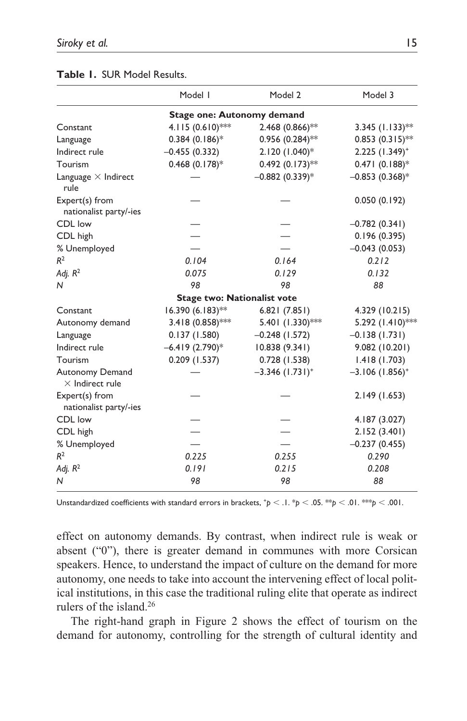|                                                  | Model I                            | Model 2                       | Model 3                       |
|--------------------------------------------------|------------------------------------|-------------------------------|-------------------------------|
|                                                  | <b>Stage one: Autonomy demand</b>  |                               |                               |
| Constant                                         | 4.115 $(0.610)$ ***                | $2.468(0.866)$ **             | 3.345 $(1.133)$ **            |
| Language                                         | $0.384(0.186)*$                    | $0.956(0.284)$ **             | $0.853$ $(0.315)$ **          |
| Indirect rule                                    | $-0.455(0.332)$                    | 2.120 (1.040)*                | $2.225$ (1.349) <sup>+</sup>  |
| Tourism                                          | $0.468(0.178)$ *                   | $0.492(0.173)$ **             | $0.471(0.188)*$               |
| Language $\times$ Indirect<br>rule               |                                    | $-0.882(0.339)*$              | $-0.853(0.368)*$              |
| Expert(s) from<br>nationalist party/-ies         |                                    |                               | 0.050(0.192)                  |
| CDL low                                          |                                    |                               | $-0.782(0.341)$               |
| CDL high                                         |                                    |                               | 0.196(0.395)                  |
| % Unemployed                                     |                                    |                               | $-0.043(0.053)$               |
| R <sup>2</sup>                                   | 0.104                              | 0.164                         | 0.212                         |
| Adj. $R^2$                                       | 0.075                              | 0.129                         | 0.132                         |
| N                                                | 98                                 | 98                            | 88                            |
|                                                  | <b>Stage two: Nationalist vote</b> |                               |                               |
| Constant                                         | $16.390(6.183)$ **                 | 6.821(7.851)                  | 4.329 (10.215)                |
| Autonomy demand                                  | 3.418 $(0.858)$ **                 | 5.401 (1.330)***              | 5.292 (1.410)***              |
| Language                                         | 0.137(1.580)                       | $-0.248$ (1.572)              | $-0.138(1.731)$               |
| Indirect rule                                    | $-6.419(2.790)$ *                  | 10.838(9.341)                 | 9.082 (10.201)                |
| Tourism                                          | 0.209(1.537)                       | 0.728(1.538)                  | 1.418(1.703)                  |
| <b>Autonomy Demand</b><br>$\times$ Indirect rule |                                    | $-3.346$ (1.731) <sup>+</sup> | $-3.106$ (1.856) <sup>+</sup> |
| Expert(s) from<br>nationalist party/-ies         |                                    |                               | 2.149 (1.653)                 |
| CDL low                                          |                                    |                               | 4.187 (3.027)                 |
| CDL high                                         |                                    |                               | 2.152(3.401)                  |
| % Unemployed                                     |                                    |                               | $-0.237(0.455)$               |
| R <sup>2</sup>                                   | 0.225                              | 0.255                         | 0.290                         |
| Adj. $R^2$                                       | 0.191                              | 0.215                         | 0.208                         |
| N                                                | 98                                 | 98                            | 88                            |

#### **Table 1.** SUR Model Results.

Unstandardized coefficients with standard errors in brackets,  $\phi$  < .1. \* $p$  < .05. \*\* $p$  < .01. \*\*\* $p$  < .001.

effect on autonomy demands. By contrast, when indirect rule is weak or absent ("0"), there is greater demand in communes with more Corsican speakers. Hence, to understand the impact of culture on the demand for more autonomy, one needs to take into account the intervening effect of local political institutions, in this case the traditional ruling elite that operate as indirect rulers of the island.26

The right-hand graph in Figure 2 shows the effect of tourism on the demand for autonomy, controlling for the strength of cultural identity and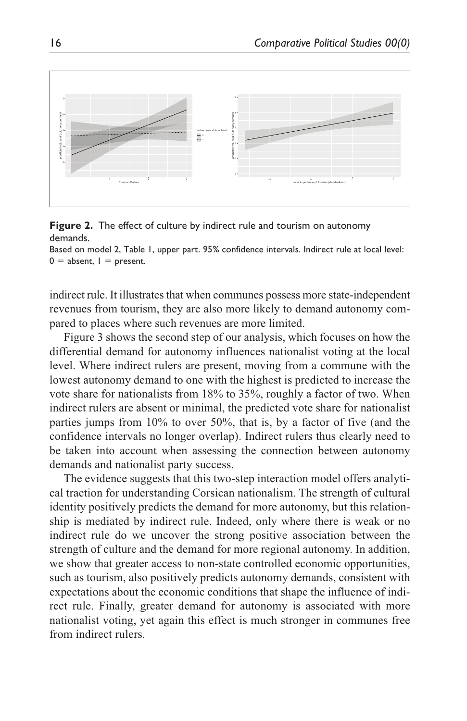



Based on model 2, Table 1, upper part. 95% confidence intervals. Indirect rule at local level:  $0 =$  absent,  $1 =$  present.

indirect rule. It illustrates that when communes possess more state-independent revenues from tourism, they are also more likely to demand autonomy compared to places where such revenues are more limited.

Figure 3 shows the second step of our analysis, which focuses on how the differential demand for autonomy influences nationalist voting at the local level. Where indirect rulers are present, moving from a commune with the lowest autonomy demand to one with the highest is predicted to increase the vote share for nationalists from 18% to 35%, roughly a factor of two. When indirect rulers are absent or minimal, the predicted vote share for nationalist parties jumps from 10% to over 50%, that is, by a factor of five (and the confidence intervals no longer overlap). Indirect rulers thus clearly need to be taken into account when assessing the connection between autonomy demands and nationalist party success.

The evidence suggests that this two-step interaction model offers analytical traction for understanding Corsican nationalism. The strength of cultural identity positively predicts the demand for more autonomy, but this relationship is mediated by indirect rule. Indeed, only where there is weak or no indirect rule do we uncover the strong positive association between the strength of culture and the demand for more regional autonomy. In addition, we show that greater access to non-state controlled economic opportunities, such as tourism, also positively predicts autonomy demands, consistent with expectations about the economic conditions that shape the influence of indirect rule. Finally, greater demand for autonomy is associated with more nationalist voting, yet again this effect is much stronger in communes free from indirect rulers.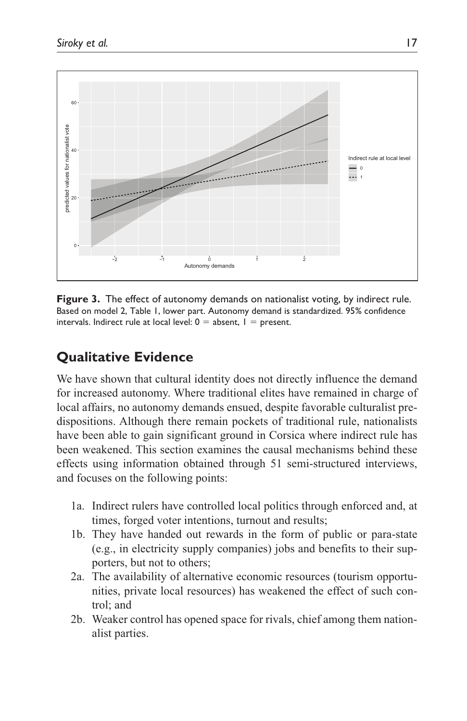

**Figure 3.** The effect of autonomy demands on nationalist voting, by indirect rule. Based on model 2, Table 1, lower part. Autonomy demand is standardized. 95% confidence intervals. Indirect rule at local level:  $0 =$  absent,  $1 =$  present.

## **Qualitative Evidence**

We have shown that cultural identity does not directly influence the demand for increased autonomy. Where traditional elites have remained in charge of local affairs, no autonomy demands ensued, despite favorable culturalist predispositions. Although there remain pockets of traditional rule, nationalists have been able to gain significant ground in Corsica where indirect rule has been weakened. This section examines the causal mechanisms behind these effects using information obtained through 51 semi-structured interviews, and focuses on the following points:

- 1a. Indirect rulers have controlled local politics through enforced and, at times, forged voter intentions, turnout and results;
- 1b. They have handed out rewards in the form of public or para-state (e.g., in electricity supply companies) jobs and benefits to their supporters, but not to others;
- 2a. The availability of alternative economic resources (tourism opportunities, private local resources) has weakened the effect of such control; and
- 2b. Weaker control has opened space for rivals, chief among them nationalist parties.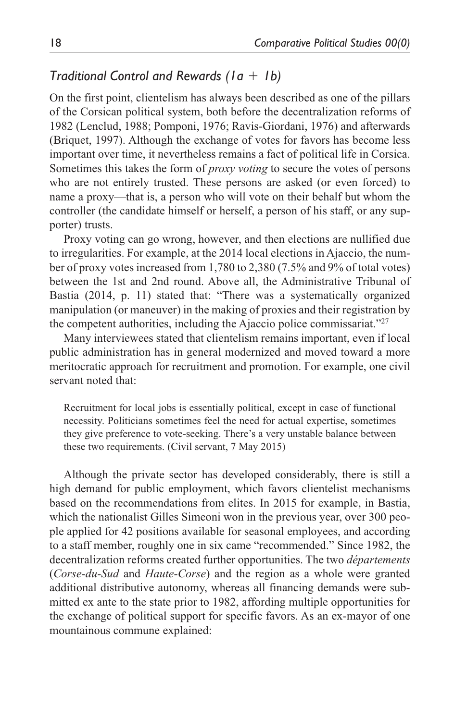## *Traditional Control and Rewards (1a* + *1b)*

On the first point, clientelism has always been described as one of the pillars of the Corsican political system, both before the decentralization reforms of 1982 (Lenclud, 1988; Pomponi, 1976; Ravis-Giordani, 1976) and afterwards (Briquet, 1997). Although the exchange of votes for favors has become less important over time, it nevertheless remains a fact of political life in Corsica. Sometimes this takes the form of *proxy voting* to secure the votes of persons who are not entirely trusted. These persons are asked (or even forced) to name a proxy—that is, a person who will vote on their behalf but whom the controller (the candidate himself or herself, a person of his staff, or any supporter) trusts.

Proxy voting can go wrong, however, and then elections are nullified due to irregularities. For example, at the 2014 local elections in Ajaccio, the number of proxy votes increased from 1,780 to 2,380 (7.5% and 9% of total votes) between the 1st and 2nd round. Above all, the Administrative Tribunal of Bastia (2014, p. 11) stated that: "There was a systematically organized manipulation (or maneuver) in the making of proxies and their registration by the competent authorities, including the Ajaccio police commissariat."<sup>27</sup>

Many interviewees stated that clientelism remains important, even if local public administration has in general modernized and moved toward a more meritocratic approach for recruitment and promotion. For example, one civil servant noted that:

Recruitment for local jobs is essentially political, except in case of functional necessity. Politicians sometimes feel the need for actual expertise, sometimes they give preference to vote-seeking. There's a very unstable balance between these two requirements. (Civil servant, 7 May 2015)

Although the private sector has developed considerably, there is still a high demand for public employment, which favors clientelist mechanisms based on the recommendations from elites. In 2015 for example, in Bastia, which the nationalist Gilles Simeoni won in the previous year, over 300 people applied for 42 positions available for seasonal employees, and according to a staff member, roughly one in six came "recommended." Since 1982, the decentralization reforms created further opportunities. The two *départements* (*Corse-du-Sud* and *Haute-Corse*) and the region as a whole were granted additional distributive autonomy, whereas all financing demands were submitted ex ante to the state prior to 1982, affording multiple opportunities for the exchange of political support for specific favors. As an ex-mayor of one mountainous commune explained: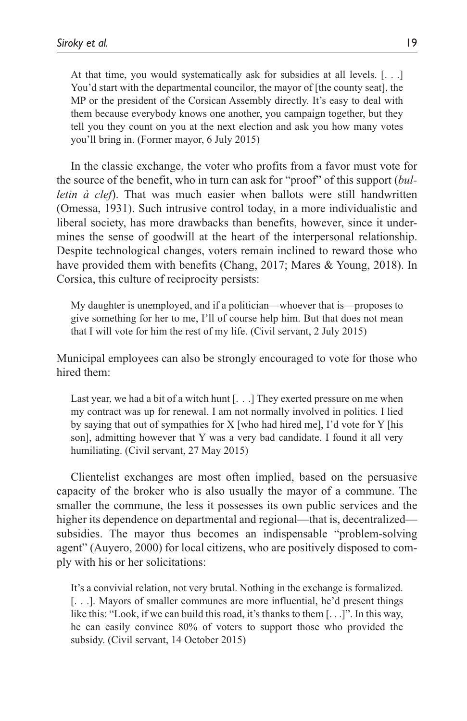At that time, you would systematically ask for subsidies at all levels. [. . .] You'd start with the departmental councilor, the mayor of [the county seat], the MP or the president of the Corsican Assembly directly. It's easy to deal with them because everybody knows one another, you campaign together, but they tell you they count on you at the next election and ask you how many votes you'll bring in. (Former mayor, 6 July 2015)

In the classic exchange, the voter who profits from a favor must vote for the source of the benefit, who in turn can ask for "proof" of this support (*bulletin à clef*). That was much easier when ballots were still handwritten (Omessa, 1931). Such intrusive control today, in a more individualistic and liberal society, has more drawbacks than benefits, however, since it undermines the sense of goodwill at the heart of the interpersonal relationship. Despite technological changes, voters remain inclined to reward those who have provided them with benefits (Chang, 2017; Mares & Young, 2018). In Corsica, this culture of reciprocity persists:

My daughter is unemployed, and if a politician—whoever that is—proposes to give something for her to me, I'll of course help him. But that does not mean that I will vote for him the rest of my life. (Civil servant, 2 July 2015)

Municipal employees can also be strongly encouraged to vote for those who hired them:

Last year, we had a bit of a witch hunt [. . .] They exerted pressure on me when my contract was up for renewal. I am not normally involved in politics. I lied by saying that out of sympathies for X [who had hired me], I'd vote for Y [his son], admitting however that Y was a very bad candidate. I found it all very humiliating. (Civil servant, 27 May 2015)

Clientelist exchanges are most often implied, based on the persuasive capacity of the broker who is also usually the mayor of a commune. The smaller the commune, the less it possesses its own public services and the higher its dependence on departmental and regional—that is, decentralized subsidies. The mayor thus becomes an indispensable "problem-solving agent" (Auyero, 2000) for local citizens, who are positively disposed to comply with his or her solicitations:

It's a convivial relation, not very brutal. Nothing in the exchange is formalized. [. . .]. Mayors of smaller communes are more influential, he'd present things like this: "Look, if we can build this road, it's thanks to them [. . .]". In this way, he can easily convince 80% of voters to support those who provided the subsidy. (Civil servant, 14 October 2015)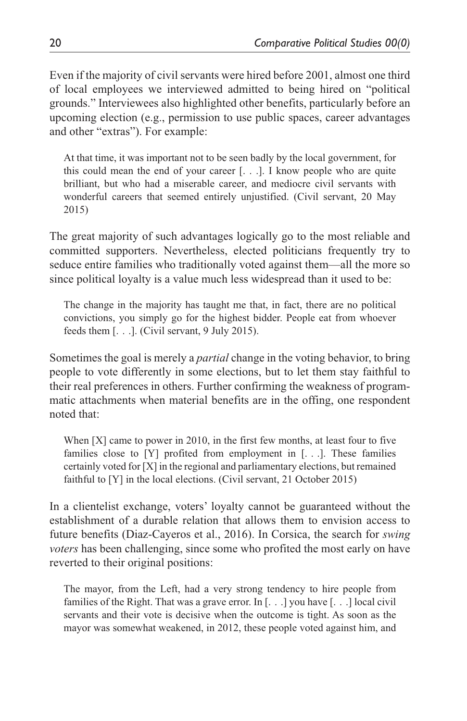Even if the majority of civil servants were hired before 2001, almost one third of local employees we interviewed admitted to being hired on "political grounds." Interviewees also highlighted other benefits, particularly before an upcoming election (e.g., permission to use public spaces, career advantages and other "extras"). For example:

At that time, it was important not to be seen badly by the local government, for this could mean the end of your career [. . .]. I know people who are quite brilliant, but who had a miserable career, and mediocre civil servants with wonderful careers that seemed entirely unjustified. (Civil servant, 20 May 2015)

The great majority of such advantages logically go to the most reliable and committed supporters. Nevertheless, elected politicians frequently try to seduce entire families who traditionally voted against them—all the more so since political loyalty is a value much less widespread than it used to be:

The change in the majority has taught me that, in fact, there are no political convictions, you simply go for the highest bidder. People eat from whoever feeds them [. . .]. (Civil servant, 9 July 2015).

Sometimes the goal is merely a *partial* change in the voting behavior, to bring people to vote differently in some elections, but to let them stay faithful to their real preferences in others. Further confirming the weakness of programmatic attachments when material benefits are in the offing, one respondent noted that:

When [X] came to power in 2010, in the first few months, at least four to five families close to [Y] profited from employment in [. . .]. These families certainly voted for [X] in the regional and parliamentary elections, but remained faithful to [Y] in the local elections. (Civil servant, 21 October 2015)

In a clientelist exchange, voters' loyalty cannot be guaranteed without the establishment of a durable relation that allows them to envision access to future benefits (Diaz-Cayeros et al., 2016). In Corsica, the search for *swing voters* has been challenging, since some who profited the most early on have reverted to their original positions:

The mayor, from the Left, had a very strong tendency to hire people from families of the Right. That was a grave error. In [. . .] you have [. . .] local civil servants and their vote is decisive when the outcome is tight. As soon as the mayor was somewhat weakened, in 2012, these people voted against him, and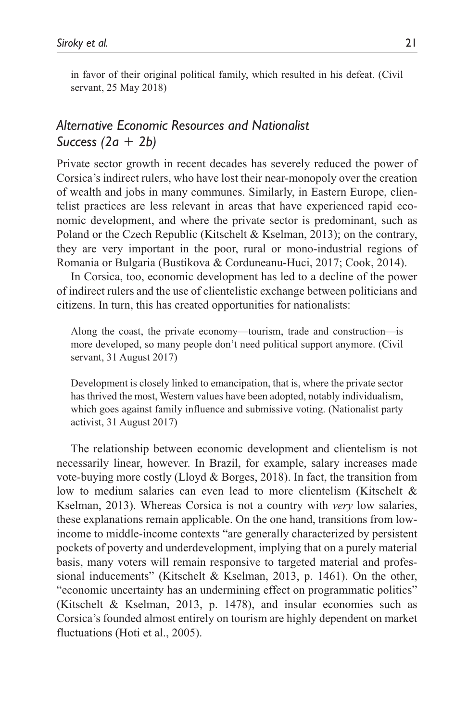in favor of their original political family, which resulted in his defeat. (Civil servant, 25 May 2018)

## *Alternative Economic Resources and Nationalist Success (2a* + *2b)*

Private sector growth in recent decades has severely reduced the power of Corsica's indirect rulers, who have lost their near-monopoly over the creation of wealth and jobs in many communes. Similarly, in Eastern Europe, clientelist practices are less relevant in areas that have experienced rapid economic development, and where the private sector is predominant, such as Poland or the Czech Republic (Kitschelt & Kselman, 2013); on the contrary, they are very important in the poor, rural or mono-industrial regions of Romania or Bulgaria (Bustikova & Corduneanu-Huci, 2017; Cook, 2014).

In Corsica, too, economic development has led to a decline of the power of indirect rulers and the use of clientelistic exchange between politicians and citizens. In turn, this has created opportunities for nationalists:

Along the coast, the private economy—tourism, trade and construction—is more developed, so many people don't need political support anymore. (Civil servant, 31 August 2017)

Development is closely linked to emancipation, that is, where the private sector has thrived the most, Western values have been adopted, notably individualism, which goes against family influence and submissive voting. (Nationalist party activist, 31 August 2017)

The relationship between economic development and clientelism is not necessarily linear, however. In Brazil, for example, salary increases made vote-buying more costly (Lloyd & Borges, 2018). In fact, the transition from low to medium salaries can even lead to more clientelism (Kitschelt & Kselman, 2013). Whereas Corsica is not a country with *very* low salaries, these explanations remain applicable. On the one hand, transitions from lowincome to middle-income contexts "are generally characterized by persistent pockets of poverty and underdevelopment, implying that on a purely material basis, many voters will remain responsive to targeted material and professional inducements" (Kitschelt & Kselman, 2013, p. 1461). On the other, "economic uncertainty has an undermining effect on programmatic politics" (Kitschelt & Kselman, 2013, p. 1478), and insular economies such as Corsica's founded almost entirely on tourism are highly dependent on market fluctuations (Hoti et al., 2005).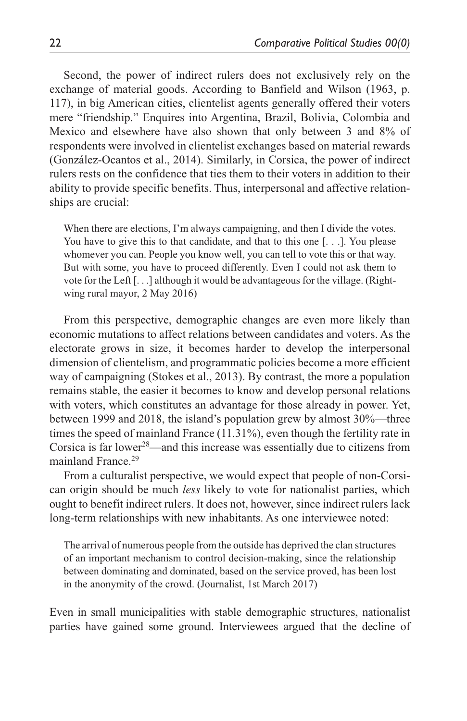Second, the power of indirect rulers does not exclusively rely on the exchange of material goods. According to Banfield and Wilson (1963, p. 117), in big American cities, clientelist agents generally offered their voters mere "friendship." Enquires into Argentina, Brazil, Bolivia, Colombia and Mexico and elsewhere have also shown that only between 3 and 8% of respondents were involved in clientelist exchanges based on material rewards (González-Ocantos et al., 2014). Similarly, in Corsica, the power of indirect rulers rests on the confidence that ties them to their voters in addition to their ability to provide specific benefits. Thus, interpersonal and affective relationships are crucial:

When there are elections, I'm always campaigning, and then I divide the votes. You have to give this to that candidate, and that to this one [...]. You please whomever you can. People you know well, you can tell to vote this or that way. But with some, you have to proceed differently. Even I could not ask them to vote for the Left [. . .] although it would be advantageous for the village. (Rightwing rural mayor, 2 May 2016)

From this perspective, demographic changes are even more likely than economic mutations to affect relations between candidates and voters. As the electorate grows in size, it becomes harder to develop the interpersonal dimension of clientelism, and programmatic policies become a more efficient way of campaigning (Stokes et al., 2013). By contrast, the more a population remains stable, the easier it becomes to know and develop personal relations with voters, which constitutes an advantage for those already in power. Yet, between 1999 and 2018, the island's population grew by almost 30%—three times the speed of mainland France (11.31%), even though the fertility rate in Corsica is far lower<sup>28</sup>—and this increase was essentially due to citizens from mainland France.<sup>29</sup>

From a culturalist perspective, we would expect that people of non-Corsican origin should be much *less* likely to vote for nationalist parties, which ought to benefit indirect rulers. It does not, however, since indirect rulers lack long-term relationships with new inhabitants. As one interviewee noted:

The arrival of numerous people from the outside has deprived the clan structures of an important mechanism to control decision-making, since the relationship between dominating and dominated, based on the service proved, has been lost in the anonymity of the crowd. (Journalist, 1st March 2017)

Even in small municipalities with stable demographic structures, nationalist parties have gained some ground. Interviewees argued that the decline of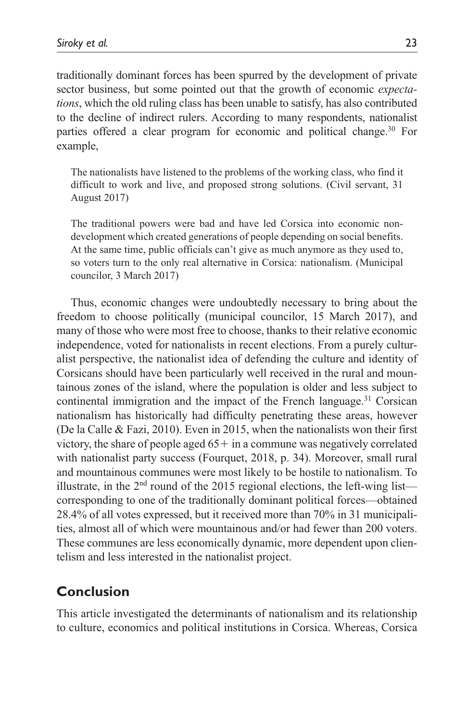traditionally dominant forces has been spurred by the development of private sector business, but some pointed out that the growth of economic *expectations*, which the old ruling class has been unable to satisfy, has also contributed to the decline of indirect rulers. According to many respondents, nationalist parties offered a clear program for economic and political change.30 For example,

The nationalists have listened to the problems of the working class, who find it difficult to work and live, and proposed strong solutions. (Civil servant, 31 August 2017)

The traditional powers were bad and have led Corsica into economic nondevelopment which created generations of people depending on social benefits. At the same time, public officials can't give as much anymore as they used to, so voters turn to the only real alternative in Corsica: nationalism. (Municipal councilor, 3 March 2017)

Thus, economic changes were undoubtedly necessary to bring about the freedom to choose politically (municipal councilor, 15 March 2017), and many of those who were most free to choose, thanks to their relative economic independence, voted for nationalists in recent elections. From a purely culturalist perspective, the nationalist idea of defending the culture and identity of Corsicans should have been particularly well received in the rural and mountainous zones of the island, where the population is older and less subject to continental immigration and the impact of the French language.<sup>31</sup> Corsican nationalism has historically had difficulty penetrating these areas, however (De la Calle & Fazi, 2010). Even in 2015, when the nationalists won their first victory, the share of people aged  $65+$  in a commune was negatively correlated with nationalist party success (Fourquet, 2018, p. 34). Moreover, small rural and mountainous communes were most likely to be hostile to nationalism. To illustrate, in the  $2<sup>nd</sup>$  round of the 2015 regional elections, the left-wing list corresponding to one of the traditionally dominant political forces—obtained 28.4% of all votes expressed, but it received more than 70% in 31 municipalities, almost all of which were mountainous and/or had fewer than 200 voters. These communes are less economically dynamic, more dependent upon clientelism and less interested in the nationalist project.

## **Conclusion**

This article investigated the determinants of nationalism and its relationship to culture, economics and political institutions in Corsica. Whereas, Corsica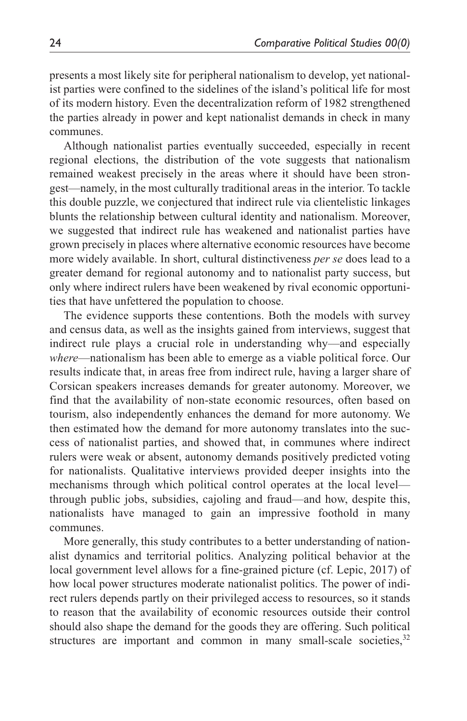presents a most likely site for peripheral nationalism to develop, yet nationalist parties were confined to the sidelines of the island's political life for most of its modern history. Even the decentralization reform of 1982 strengthened the parties already in power and kept nationalist demands in check in many communes.

Although nationalist parties eventually succeeded, especially in recent regional elections, the distribution of the vote suggests that nationalism remained weakest precisely in the areas where it should have been strongest—namely, in the most culturally traditional areas in the interior. To tackle this double puzzle, we conjectured that indirect rule via clientelistic linkages blunts the relationship between cultural identity and nationalism. Moreover, we suggested that indirect rule has weakened and nationalist parties have grown precisely in places where alternative economic resources have become more widely available. In short, cultural distinctiveness *per se* does lead to a greater demand for regional autonomy and to nationalist party success, but only where indirect rulers have been weakened by rival economic opportunities that have unfettered the population to choose.

The evidence supports these contentions. Both the models with survey and census data, as well as the insights gained from interviews, suggest that indirect rule plays a crucial role in understanding why—and especially *where*—nationalism has been able to emerge as a viable political force. Our results indicate that, in areas free from indirect rule, having a larger share of Corsican speakers increases demands for greater autonomy. Moreover, we find that the availability of non-state economic resources, often based on tourism, also independently enhances the demand for more autonomy. We then estimated how the demand for more autonomy translates into the success of nationalist parties, and showed that, in communes where indirect rulers were weak or absent, autonomy demands positively predicted voting for nationalists. Qualitative interviews provided deeper insights into the mechanisms through which political control operates at the local level through public jobs, subsidies, cajoling and fraud—and how, despite this, nationalists have managed to gain an impressive foothold in many communes.

More generally, this study contributes to a better understanding of nationalist dynamics and territorial politics. Analyzing political behavior at the local government level allows for a fine-grained picture (cf. Lepic, 2017) of how local power structures moderate nationalist politics. The power of indirect rulers depends partly on their privileged access to resources, so it stands to reason that the availability of economic resources outside their control should also shape the demand for the goods they are offering. Such political structures are important and common in many small-scale societies,<sup>32</sup>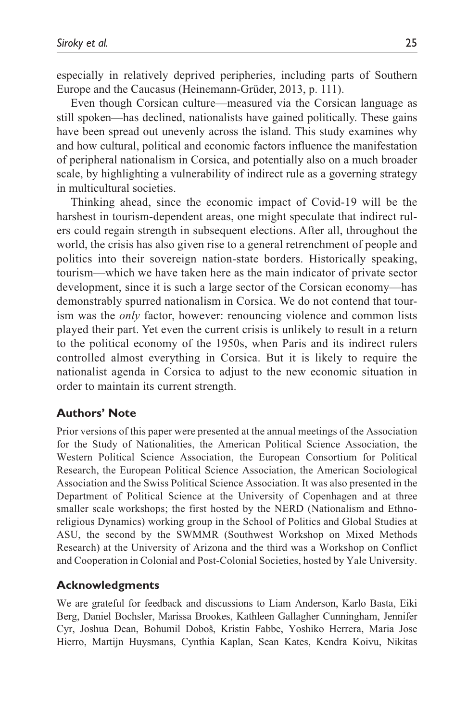especially in relatively deprived peripheries, including parts of Southern Europe and the Caucasus (Heinemann-Grüder, 2013, p. 111).

Even though Corsican culture—measured via the Corsican language as still spoken—has declined, nationalists have gained politically. These gains have been spread out unevenly across the island. This study examines why and how cultural, political and economic factors influence the manifestation of peripheral nationalism in Corsica, and potentially also on a much broader scale, by highlighting a vulnerability of indirect rule as a governing strategy in multicultural societies.

Thinking ahead, since the economic impact of Covid-19 will be the harshest in tourism-dependent areas, one might speculate that indirect rulers could regain strength in subsequent elections. After all, throughout the world, the crisis has also given rise to a general retrenchment of people and politics into their sovereign nation-state borders. Historically speaking, tourism—which we have taken here as the main indicator of private sector development, since it is such a large sector of the Corsican economy—has demonstrably spurred nationalism in Corsica. We do not contend that tourism was the *only* factor, however: renouncing violence and common lists played their part. Yet even the current crisis is unlikely to result in a return to the political economy of the 1950s, when Paris and its indirect rulers controlled almost everything in Corsica. But it is likely to require the nationalist agenda in Corsica to adjust to the new economic situation in order to maintain its current strength.

### **Authors' Note**

Prior versions of this paper were presented at the annual meetings of the Association for the Study of Nationalities, the American Political Science Association, the Western Political Science Association, the European Consortium for Political Research, the European Political Science Association, the American Sociological Association and the Swiss Political Science Association. It was also presented in the Department of Political Science at the University of Copenhagen and at three smaller scale workshops; the first hosted by the NERD (Nationalism and Ethnoreligious Dynamics) working group in the School of Politics and Global Studies at ASU, the second by the SWMMR (Southwest Workshop on Mixed Methods Research) at the University of Arizona and the third was a Workshop on Conflict and Cooperation in Colonial and Post-Colonial Societies, hosted by Yale University.

#### **Acknowledgments**

We are grateful for feedback and discussions to Liam Anderson, Karlo Basta, Eiki Berg, Daniel Bochsler, Marissa Brookes, Kathleen Gallagher Cunningham, Jennifer Cyr, Joshua Dean, Bohumil Doboš, Kristin Fabbe, Yoshiko Herrera, Maria Jose Hierro, Martijn Huysmans, Cynthia Kaplan, Sean Kates, Kendra Koivu, Nikitas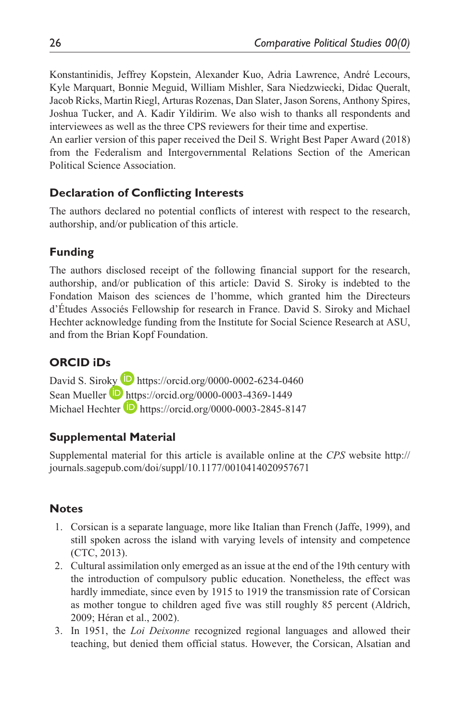Konstantinidis, Jeffrey Kopstein, Alexander Kuo, Adria Lawrence, André Lecours, Kyle Marquart, Bonnie Meguid, William Mishler, Sara Niedzwiecki, Didac Queralt, Jacob Ricks, Martin Riegl, Arturas Rozenas, Dan Slater, Jason Sorens, Anthony Spires, Joshua Tucker, and A. Kadir Yildirim. We also wish to thanks all respondents and interviewees as well as the three CPS reviewers for their time and expertise.

An earlier version of this paper received the Deil S. Wright Best Paper Award (2018) from the Federalism and Intergovernmental Relations Section of the American Political Science Association.

## **Declaration of Conflicting Interests**

The authors declared no potential conflicts of interest with respect to the research, authorship, and/or publication of this article.

### **Funding**

The authors disclosed receipt of the following financial support for the research, authorship, and/or publication of this article: David S. Siroky is indebted to the Fondation Maison des sciences de l'homme, which granted him the Directeurs d'Études Associés Fellowship for research in France. David S. Siroky and Michael Hechter acknowledge funding from the Institute for Social Science Research at ASU, and from the Brian Kopf Foundation.

## **ORCID iDs**

David S. Siroky D <https://orcid.org/0000-0002-6234-0460> Sean Mueller **D** <https://orcid.org/0000-0003-4369-1449> Michael Hechter **<https://orcid.org/0000-0003-2845-8147>** 

## **Supplemental Material**

Supplemental material for this article is available online at the *CPS* website [http://](http://journals.sagepub.com/doi/suppl/10.1177/0010414020957671) [journals.sagepub.com/doi/suppl/10.1177/0010414020957671](http://journals.sagepub.com/doi/suppl/10.1177/0010414020957671)

### **Notes**

- 1. Corsican is a separate language, more like Italian than French (Jaffe, 1999), and still spoken across the island with varying levels of intensity and competence (CTC, 2013).
- 2. Cultural assimilation only emerged as an issue at the end of the 19th century with the introduction of compulsory public education. Nonetheless, the effect was hardly immediate, since even by 1915 to 1919 the transmission rate of Corsican as mother tongue to children aged five was still roughly 85 percent (Aldrich, 2009; Héran et al., 2002).
- 3. In 1951, the *Loi Deixonne* recognized regional languages and allowed their teaching, but denied them official status. However, the Corsican, Alsatian and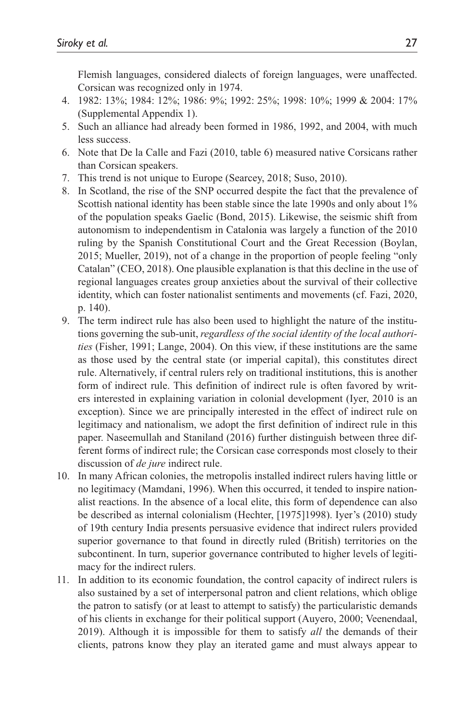Flemish languages, considered dialects of foreign languages, were unaffected. Corsican was recognized only in 1974.

- 4. 1982: 13%; 1984: 12%; 1986: 9%; 1992: 25%; 1998: 10%; 1999 & 2004: 17% (Supplemental Appendix 1).
- 5. Such an alliance had already been formed in 1986, 1992, and 2004, with much less success.
- 6. Note that De la Calle and Fazi (2010, table 6) measured native Corsicans rather than Corsican speakers.
- 7. This trend is not unique to Europe (Searcey, 2018; Suso, 2010).
- 8. In Scotland, the rise of the SNP occurred despite the fact that the prevalence of Scottish national identity has been stable since the late 1990s and only about 1% of the population speaks Gaelic (Bond, 2015). Likewise, the seismic shift from autonomism to independentism in Catalonia was largely a function of the 2010 ruling by the Spanish Constitutional Court and the Great Recession (Boylan, 2015; Mueller, 2019), not of a change in the proportion of people feeling "only Catalan" (CEO, 2018). One plausible explanation is that this decline in the use of regional languages creates group anxieties about the survival of their collective identity, which can foster nationalist sentiments and movements (cf. Fazi, 2020, p. 140).
- 9. The term indirect rule has also been used to highlight the nature of the institutions governing the sub-unit, *regardless of the social identity of the local authorities* (Fisher, 1991; Lange, 2004). On this view, if these institutions are the same as those used by the central state (or imperial capital), this constitutes direct rule. Alternatively, if central rulers rely on traditional institutions, this is another form of indirect rule. This definition of indirect rule is often favored by writers interested in explaining variation in colonial development (Iyer, 2010 is an exception). Since we are principally interested in the effect of indirect rule on legitimacy and nationalism, we adopt the first definition of indirect rule in this paper. Naseemullah and Staniland (2016) further distinguish between three different forms of indirect rule; the Corsican case corresponds most closely to their discussion of *de jure* indirect rule.
- 10. In many African colonies, the metropolis installed indirect rulers having little or no legitimacy (Mamdani, 1996). When this occurred, it tended to inspire nationalist reactions. In the absence of a local elite, this form of dependence can also be described as internal colonialism (Hechter, [1975]1998). Iyer's (2010) study of 19th century India presents persuasive evidence that indirect rulers provided superior governance to that found in directly ruled (British) territories on the subcontinent. In turn, superior governance contributed to higher levels of legitimacy for the indirect rulers.
- 11. In addition to its economic foundation, the control capacity of indirect rulers is also sustained by a set of interpersonal patron and client relations, which oblige the patron to satisfy (or at least to attempt to satisfy) the particularistic demands of his clients in exchange for their political support (Auyero, 2000; Veenendaal, 2019). Although it is impossible for them to satisfy *all* the demands of their clients, patrons know they play an iterated game and must always appear to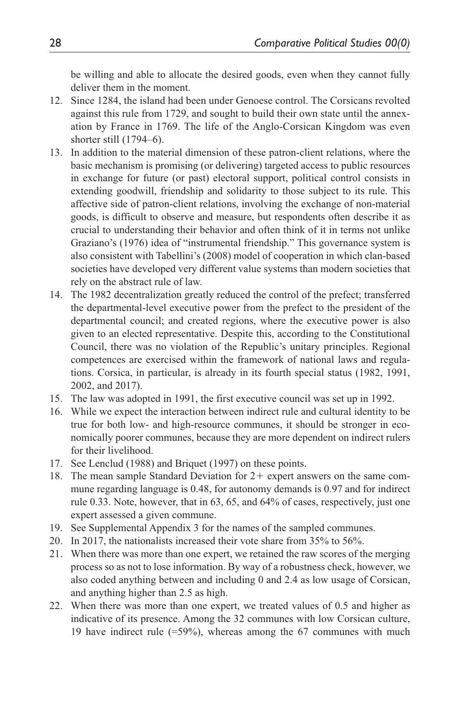be willing and able to allocate the desired goods, even when they cannot fully deliver them in the moment.

- 12. Since 1284, the island had been under Genoese control. The Corsicans revolted against this rule from 1729, and sought to build their own state until the annexation by France in 1769. The life of the Anglo-Corsican Kingdom was even shorter still (1794–6).
- 13. In addition to the material dimension of these patron-client relations, where the basic mechanism is promising (or delivering) targeted access to public resources in exchange for future (or past) electoral support, political control consists in extending goodwill, friendship and solidarity to those subject to its rule. This affective side of patron-client relations, involving the exchange of non-material goods, is difficult to observe and measure, but respondents often describe it as crucial to understanding their behavior and often think of it in terms not unlike Graziano's (1976) idea of "instrumental friendship." This governance system is also consistent with Tabellini's (2008) model of cooperation in which clan-based societies have developed very different value systems than modern societies that rely on the abstract rule of law.
- 14. The 1982 decentralization greatly reduced the control of the prefect; transferred the departmental-level executive power from the prefect to the president of the departmental council; and created regions, where the executive power is also given to an elected representative. Despite this, according to the Constitutional Council, there was no violation of the Republic's unitary principles. Regional competences are exercised within the framework of national laws and regulations. Corsica, in particular, is already in its fourth special status (1982, 1991, 2002, and 2017).
- 15. The law was adopted in 1991, the first executive council was set up in 1992.
- 16. While we expect the interaction between indirect rule and cultural identity to be true for both low- and high-resource communes, it should be stronger in economically poorer communes, because they are more dependent on indirect rulers for their livelihood.
- 17. See Lenclud (1988) and Briquet (1997) on these points.
- 18. The mean sample Standard Deviation for 2+ expert answers on the same commune regarding language is 0.48, for autonomy demands is 0.97 and for indirect rule 0.33. Note, however, that in 63, 65, and 64% of cases, respectively, just one expert assessed a given commune.
- 19. See Supplemental Appendix 3 for the names of the sampled communes.
- 20. In 2017, the nationalists increased their vote share from 35% to 56%.
- 21. When there was more than one expert, we retained the raw scores of the merging process so as not to lose information. By way of a robustness check, however, we also coded anything between and including 0 and 2.4 as low usage of Corsican, and anything higher than 2.5 as high.
- 22. When there was more than one expert, we treated values of 0.5 and higher as indicative of its presence. Among the 32 communes with low Corsican culture, 19 have indirect rule (=59%), whereas among the 67 communes with much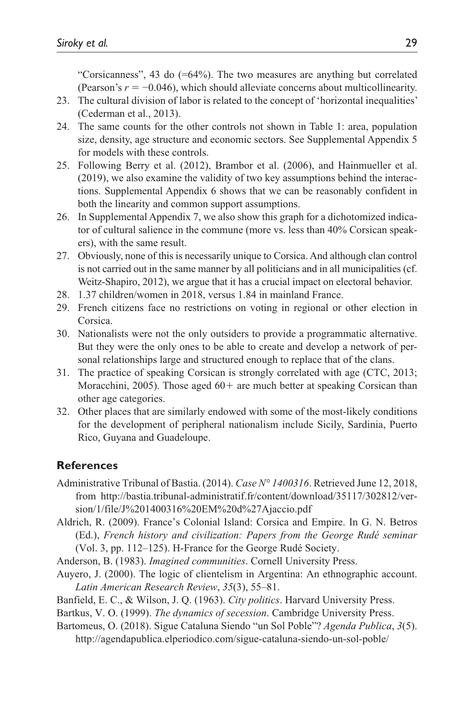"Corsicanness", 43 do (=64%). The two measures are anything but correlated (Pearson's  $r = -0.046$ ), which should alleviate concerns about multicollinearity.

- 23. The cultural division of labor is related to the concept of 'horizontal inequalities' (Cederman et al., 2013).
- 24. The same counts for the other controls not shown in Table 1: area, population size, density, age structure and economic sectors. See Supplemental Appendix 5 for models with these controls.
- 25. Following Berry et al. (2012), Brambor et al. (2006), and Hainmueller et al. (2019), we also examine the validity of two key assumptions behind the interactions. Supplemental Appendix 6 shows that we can be reasonably confident in both the linearity and common support assumptions.
- 26. In Supplemental Appendix 7, we also show this graph for a dichotomized indicator of cultural salience in the commune (more vs. less than 40% Corsican speakers), with the same result.
- 27. Obviously, none of this is necessarily unique to Corsica. And although clan control is not carried out in the same manner by all politicians and in all municipalities (cf. Weitz-Shapiro, 2012), we argue that it has a crucial impact on electoral behavior.
- 28. 1.37 children/women in 2018, versus 1.84 in mainland France.
- 29. French citizens face no restrictions on voting in regional or other election in Corsica.
- 30. Nationalists were not the only outsiders to provide a programmatic alternative. But they were the only ones to be able to create and develop a network of personal relationships large and structured enough to replace that of the clans.
- 31. The practice of speaking Corsican is strongly correlated with age (CTC, 2013; Moracchini, 2005). Those aged  $60+$  are much better at speaking Corsican than other age categories.
- 32. Other places that are similarly endowed with some of the most-likely conditions for the development of peripheral nationalism include Sicily, Sardinia, Puerto Rico, Guyana and Guadeloupe.

### **References**

- Administrative Tribunal of Bastia. (2014). *Case N° 1400316*. Retrieved June 12, 2018, from [http://bastia.tribunal-administratif.fr/content/download/35117/302812/ver](http://bastia.tribunal-administratif.fr/content/download/35117/302812/version/1/file/J%201400316%20EM%20d%27Ajaccio.pdf)[sion/1/file/J%201400316%20EM%20d%27Ajaccio.pdf](http://bastia.tribunal-administratif.fr/content/download/35117/302812/version/1/file/J%201400316%20EM%20d%27Ajaccio.pdf)
- Aldrich, R. (2009). France's Colonial Island: Corsica and Empire. In G. N. Betros (Ed.), *French history and civilization: Papers from the George Rudé seminar* (Vol. 3, pp. 112–125). H-France for the George Rudé Society.
- Anderson, B. (1983). *Imagined communities*. Cornell University Press.
- Auyero, J. (2000). The logic of clientelism in Argentina: An ethnographic account. *Latin American Research Review*, *35*(3), 55–81.
- Banfield, E. C., & Wilson, J. Q. (1963). *City politics*. Harvard University Press.
- Bartkus, V. O. (1999). *The dynamics of secession*. Cambridge University Press.
- Bartomeus, O. (2018). Sigue Cataluna Siendo "un Sol Poble"? *Agenda Publica*, *3*(5). <http://agendapublica.elperiodico.com/sigue-cataluna-siendo-un-sol-poble/>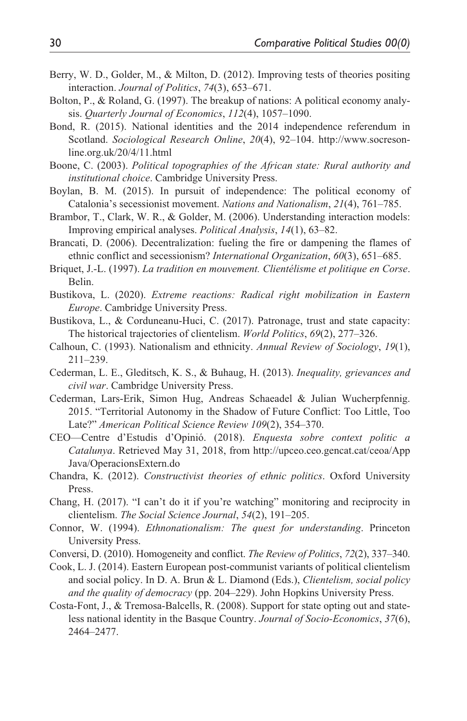- Berry, W. D., Golder, M., & Milton, D. (2012). Improving tests of theories positing interaction. *Journal of Politics*, *74*(3), 653–671.
- Bolton, P., & Roland, G. (1997). The breakup of nations: A political economy analysis. *Quarterly Journal of Economics*, *112*(4), 1057–1090.
- Bond, R. (2015). National identities and the 2014 independence referendum in Scotland. *Sociological Research Online*, *20*(4), 92–104. [http://www.socreson](http://www.socresonline.org.uk/20/4/11.html)[line.org.uk/20/4/11.html](http://www.socresonline.org.uk/20/4/11.html)
- Boone, C. (2003). *Political topographies of the African state: Rural authority and institutional choice*. Cambridge University Press.
- Boylan, B. M. (2015). In pursuit of independence: The political economy of Catalonia's secessionist movement. *Nations and Nationalism*, *21*(4), 761–785.
- Brambor, T., Clark, W. R., & Golder, M. (2006). Understanding interaction models: Improving empirical analyses. *Political Analysis*, *14*(1), 63–82.
- Brancati, D. (2006). Decentralization: fueling the fire or dampening the flames of ethnic conflict and secessionism? *International Organization*, *60*(3), 651–685.
- Briquet, J.-L. (1997). *La tradition en mouvement. Clientélisme et politique en Corse*. Belin.
- Bustikova, L. (2020). *Extreme reactions: Radical right mobilization in Eastern Europe*. Cambridge University Press.
- Bustikova, L., & Corduneanu-Huci, C. (2017). Patronage, trust and state capacity: The historical trajectories of clientelism. *World Politics*, *69*(2), 277–326.
- Calhoun, C. (1993). Nationalism and ethnicity. *Annual Review of Sociology*, *19*(1), 211–239.
- Cederman, L. E., Gleditsch, K. S., & Buhaug, H. (2013). *Inequality, grievances and civil war*. Cambridge University Press.
- Cederman, Lars-Erik, Simon Hug, Andreas Schaeadel & Julian Wucherpfennig. 2015. "Territorial Autonomy in the Shadow of Future Conflict: Too Little, Too Late?" *American Political Science Review 109*(2), 354–370.
- CEO—Centre d'Estudis d'Opinió. (2018). *Enquesta sobre context politic a Catalunya*. Retrieved May 31, 2018, from [http://upceo.ceo.gencat.cat/ceoa/App](http://upceo.ceo.gencat.cat/ceoa/AppJava/OperacionsExtern.do) [Java/OperacionsExtern.do](http://upceo.ceo.gencat.cat/ceoa/AppJava/OperacionsExtern.do)
- Chandra, K. (2012). *Constructivist theories of ethnic politics*. Oxford University Press.
- Chang, H. (2017). "I can't do it if you're watching" monitoring and reciprocity in clientelism. *The Social Science Journal*, *54*(2), 191–205.
- Connor, W. (1994). *Ethnonationalism: The quest for understanding*. Princeton University Press.
- Conversi, D. (2010). Homogeneity and conflict. *The Review of Politics*, *72*(2), 337–340.
- Cook, L. J. (2014). Eastern European post-communist variants of political clientelism and social policy. In D. A. Brun & L. Diamond (Eds.), *Clientelism, social policy and the quality of democracy* (pp. 204–229). John Hopkins University Press.
- Costa-Font, J., & Tremosa-Balcells, R. (2008). Support for state opting out and stateless national identity in the Basque Country. *Journal of Socio-Economics*, *37*(6), 2464–2477.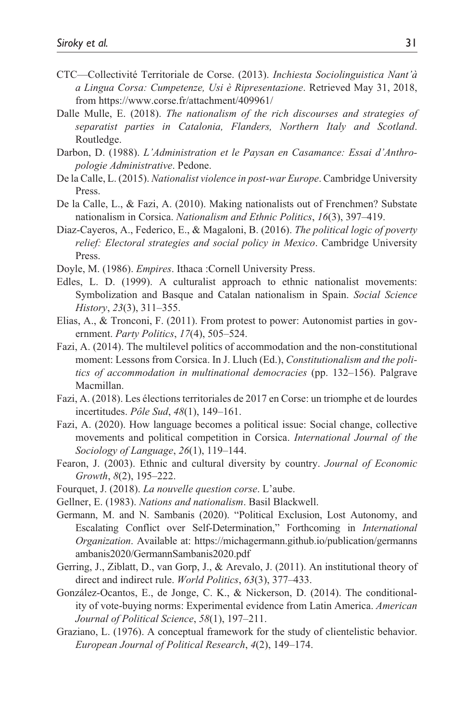- CTC—Collectivité Territoriale de Corse. (2013). *Inchiesta Sociolinguistica Nant'à a Lingua Corsa: Cumpetenze, Usi è Ripresentazione*. Retrieved May 31, 2018, from <https://www.corse.fr/attachment/409961/>
- Dalle Mulle, E. (2018). *The nationalism of the rich discourses and strategies of separatist parties in Catalonia, Flanders, Northern Italy and Scotland*. Routledge.
- Darbon, D. (1988). *L'Administration et le Paysan en Casamance: Essai d'Anthropologie Administrative*. Pedone.
- De la Calle, L. (2015). *Nationalist violence in post-war Europe*. Cambridge University Press.
- De la Calle, L., & Fazi, A. (2010). Making nationalists out of Frenchmen? Substate nationalism in Corsica. *Nationalism and Ethnic Politics*, *16*(3), 397–419.
- Diaz-Cayeros, A., Federico, E., & Magaloni, B. (2016). *The political logic of poverty relief: Electoral strategies and social policy in Mexico*. Cambridge University Press.
- Doyle, M. (1986). *Empires*. Ithaca :Cornell University Press.
- Edles, L. D. (1999). A culturalist approach to ethnic nationalist movements: Symbolization and Basque and Catalan nationalism in Spain. *Social Science History*, *23*(3), 311–355.
- Elias, A., & Tronconi, F. (2011). From protest to power: Autonomist parties in government. *Party Politics*, *17*(4), 505–524.
- Fazi, A. (2014). The multilevel politics of accommodation and the non-constitutional moment: Lessons from Corsica. In J. Lluch (Ed.), *Constitutionalism and the politics of accommodation in multinational democracies* (pp. 132–156). Palgrave Macmillan.
- Fazi, A. (2018). Les élections territoriales de 2017 en Corse: un triomphe et de lourdes incertitudes. *Pôle Sud*, *48*(1), 149–161.
- Fazi, A. (2020). How language becomes a political issue: Social change, collective movements and political competition in Corsica. *International Journal of the Sociology of Language*, *26*(1), 119–144.
- Fearon, J. (2003). Ethnic and cultural diversity by country. *Journal of Economic Growth*, *8*(2), 195–222.
- Fourquet, J. (2018). *La nouvelle question corse*. L'aube.
- Gellner, E. (1983). *Nations and nationalism*. Basil Blackwell.
- Germann, M. and N. Sambanis (2020). "Political Exclusion, Lost Autonomy, and Escalating Conflict over Self-Determination," Forthcoming in *International Organization*. Available at: [https://michagermann.github.io/publication/germanns](https://michagermann.github.io/publication/germannsambanis2020/GermannSambanis2020.pdf) [ambanis2020/GermannSambanis2020.pdf](https://michagermann.github.io/publication/germannsambanis2020/GermannSambanis2020.pdf)
- Gerring, J., Ziblatt, D., van Gorp, J., & Arevalo, J. (2011). An institutional theory of direct and indirect rule. *World Politics*, *63*(3), 377–433.
- González-Ocantos, E., de Jonge, C. K., & Nickerson, D. (2014). The conditionality of vote-buying norms: Experimental evidence from Latin America. *American Journal of Political Science*, *58*(1), 197–211.
- Graziano, L. (1976). A conceptual framework for the study of clientelistic behavior. *European Journal of Political Research*, *4*(2), 149–174.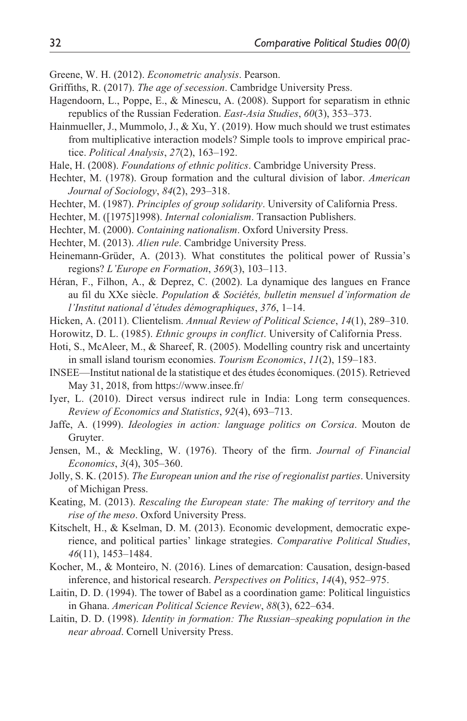- Greene, W. H. (2012). *Econometric analysis*. Pearson.
- Griffiths, R. (2017). *The age of secession*. Cambridge University Press.
- Hagendoorn, L., Poppe, E., & Minescu, A. (2008). Support for separatism in ethnic republics of the Russian Federation. *East-Asia Studies*, *60*(3), 353–373.
- Hainmueller, J., Mummolo, J., & Xu, Y. (2019). How much should we trust estimates from multiplicative interaction models? Simple tools to improve empirical practice. *Political Analysis*, *27*(2), 163–192.
- Hale, H. (2008). *Foundations of ethnic politics*. Cambridge University Press.
- Hechter, M. (1978). Group formation and the cultural division of labor. *American Journal of Sociology*, *84*(2), 293–318.
- Hechter, M. (1987). *Principles of group solidarity*. University of California Press.
- Hechter, M. ([1975]1998). *Internal colonialism*. Transaction Publishers.
- Hechter, M. (2000). *Containing nationalism*. Oxford University Press.
- Hechter, M. (2013). *Alien rule*. Cambridge University Press.
- Heinemann-Grüder, A. (2013). What constitutes the political power of Russia's regions? *L'Europe en Formation*, *369*(3), 103–113.
- Héran, F., Filhon, A., & Deprez, C. (2002). La dynamique des langues en France au fil du XXe siècle. *Population & Sociétés, bulletin mensuel d'information de l'Institut national d'études démographiques*, *376*, 1–14.
- Hicken, A. (2011). Clientelism. *Annual Review of Political Science*, *14*(1), 289–310.
- Horowitz, D. L. (1985). *Ethnic groups in conflict*. University of California Press.
- Hoti, S., McAleer, M., & Shareef, R. (2005). Modelling country risk and uncertainty in small island tourism economies. *Tourism Economics*, *11*(2), 159–183.
- INSEE—Institut national de la statistique et des études économiques. (2015). Retrieved May 31, 2018, from <https://www.insee.fr/>
- Iyer, L. (2010). Direct versus indirect rule in India: Long term consequences. *Review of Economics and Statistics*, *92*(4), 693–713.
- Jaffe, A. (1999). *Ideologies in action: language politics on Corsica*. Mouton de Gruyter.
- Jensen, M., & Meckling, W. (1976). Theory of the firm. *Journal of Financial Economics*, *3*(4), 305–360.
- Jolly, S. K. (2015). *The European union and the rise of regionalist parties*. University of Michigan Press.
- Keating, M. (2013). *Rescaling the European state: The making of territory and the rise of the meso*. Oxford University Press.
- Kitschelt, H., & Kselman, D. M. (2013). Economic development, democratic experience, and political parties' linkage strategies. *Comparative Political Studies*, *46*(11), 1453–1484.
- Kocher, M., & Monteiro, N. (2016). Lines of demarcation: Causation, design-based inference, and historical research. *Perspectives on Politics*, *14*(4), 952–975.
- Laitin, D. D. (1994). The tower of Babel as a coordination game: Political linguistics in Ghana. *American Political Science Review*, *88*(3), 622–634.
- Laitin, D. D. (1998). *Identity in formation: The Russian–speaking population in the near abroad*. Cornell University Press.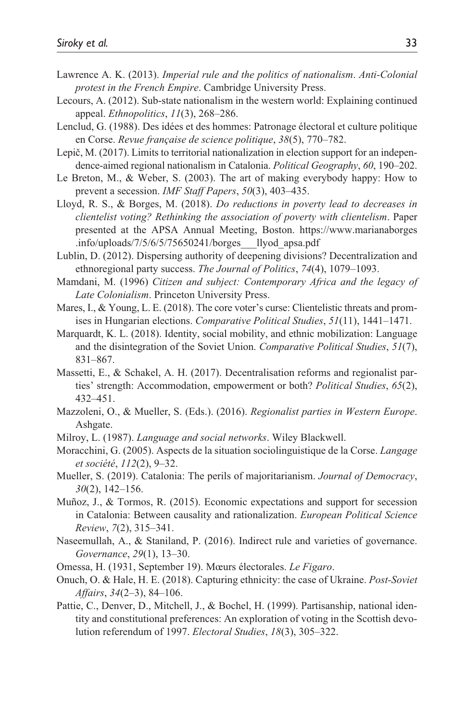- Lawrence A. K. (2013). *Imperial rule and the politics of nationalism*. *Anti-Colonial protest in the French Empire*. Cambridge University Press.
- Lecours, A. (2012). Sub-state nationalism in the western world: Explaining continued appeal. *Ethnopolitics*, *11*(3), 268–286.
- Lenclud, G. (1988). Des idées et des hommes: Patronage électoral et culture politique en Corse. *Revue française de science politique*, *38*(5), 770–782.
- Lepič, M. (2017). Limits to territorial nationalization in election support for an independence-aimed regional nationalism in Catalonia. *Political Geography*, *60*, 190–202.
- Le Breton, M., & Weber, S. (2003). The art of making everybody happy: How to prevent a secession. *IMF Staff Papers*, *50*(3), 403–435.
- Lloyd, R. S., & Borges, M. (2018). *Do reductions in poverty lead to decreases in clientelist voting? Rethinking the association of poverty with clientelism*. Paper presented at the APSA Annual Meeting, Boston. [https://www.marianaborges](https://www.marianaborges.info/uploads/7/5/6/5/75650241/borges___llyod_apsa.pdf) [.info/uploads/7/5/6/5/75650241/borges\\_\\_\\_llyod\\_apsa.pdf](https://www.marianaborges.info/uploads/7/5/6/5/75650241/borges___llyod_apsa.pdf)
- Lublin, D. (2012). Dispersing authority of deepening divisions? Decentralization and ethnoregional party success. *The Journal of Politics*, *74*(4), 1079–1093.
- Mamdani, M. (1996) *Citizen and subject: Contemporary Africa and the legacy of Late Colonialism*. Princeton University Press.
- Mares, I., & Young, L. E. (2018). The core voter's curse: Clientelistic threats and promises in Hungarian elections. *Comparative Political Studies*, *51*(11), 1441–1471.
- Marquardt, K. L. (2018). Identity, social mobility, and ethnic mobilization: Language and the disintegration of the Soviet Union. *Comparative Political Studies*, *51*(7), 831–867.
- Massetti, E., & Schakel, A. H. (2017). Decentralisation reforms and regionalist parties' strength: Accommodation, empowerment or both? *Political Studies*, *65*(2), 432–451.
- Mazzoleni, O., & Mueller, S. (Eds.). (2016). *Regionalist parties in Western Europe*. Ashgate.
- Milroy, L. (1987). *Language and social networks*. Wiley Blackwell.
- Moracchini, G. (2005). Aspects de la situation sociolinguistique de la Corse. *Langage et société*, *112*(2), 9–32.
- Mueller, S. (2019). Catalonia: The perils of majoritarianism. *Journal of Democracy*, *30*(2), 142–156.
- Muñoz, J., & Tormos, R. (2015). Economic expectations and support for secession in Catalonia: Between causality and rationalization. *European Political Science Review*, *7*(2), 315–341.
- Naseemullah, A., & Staniland, P. (2016). Indirect rule and varieties of governance. *Governance*, *29*(1), 13–30.
- Omessa, H. (1931, September 19). Mœurs électorales. *Le Figaro*.
- Onuch, O. & Hale, H. E. (2018). Capturing ethnicity: the case of Ukraine. *Post-Soviet Affairs*, *34*(2–3), 84–106.
- Pattie, C., Denver, D., Mitchell, J., & Bochel, H. (1999). Partisanship, national identity and constitutional preferences: An exploration of voting in the Scottish devolution referendum of 1997. *Electoral Studies*, *18*(3), 305–322.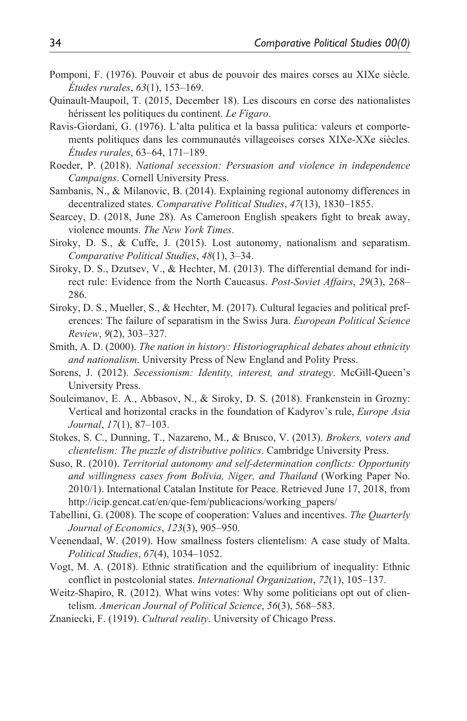- Pomponi, F. (1976). Pouvoir et abus de pouvoir des maires corses au XIXe siècle. *Études rurales*, *63*(1), 153–169.
- Quinault-Maupoil, T. (2015, December 18). Les discours en corse des nationalistes hérissent les politiques du continent. *Le Figaro*.
- Ravis-Giordani, G. (1976). L'alta pulitica et la bassa pulitica: valeurs et comportements politiques dans les communautés villageoises corses XIXe-XXe siècles. *Études rurales*, 63–64, 171–189.
- Roeder, P. (2018). *National secession: Persuasion and violence in independence Campaigns*. Cornell University Press.
- Sambanis, N., & Milanovic, B. (2014). Explaining regional autonomy differences in decentralized states. *Comparative Political Studies*, *47*(13), 1830–1855.
- Searcey, D. (2018, June 28). As Cameroon English speakers fight to break away, violence mounts. *The New York Times*.
- Siroky, D. S., & Cuffe, J. (2015). Lost autonomy, nationalism and separatism. *Comparative Political Studies*, *48*(1), 3–34.
- Siroky, D. S., Dzutsev, V., & Hechter, M. (2013). The differential demand for indirect rule: Evidence from the North Caucasus. *Post-Soviet Affairs*, *29*(3), 268– 286.
- Siroky, D. S., Mueller, S., & Hechter, M. (2017). Cultural legacies and political preferences: The failure of separatism in the Swiss Jura. *European Political Science Review*, *9*(2), 303–327.
- Smith, A. D. (2000). *The nation in history: Historiographical debates about ethnicity and nationalism*. University Press of New England and Polity Press.
- Sorens, J. (2012). *Secessionism: Identity, interest, and strategy*. McGill-Queen's University Press.
- Souleimanov, E. A., Abbasov, N., & Siroky, D. S. (2018). Frankenstein in Grozny: Vertical and horizontal cracks in the foundation of Kadyrov's rule, *Europe Asia Journal*, *17*(1), 87–103.
- Stokes, S. C., Dunning, T., Nazareno, M., & Brusco, V. (2013). *Brokers, voters and clientelism: The puzzle of distributive politics*. Cambridge University Press.
- Suso, R. (2010). *Territorial autonomy and self-determination conflicts: Opportunity and willingness cases from Bolivia, Niger, and Thailand* (Working Paper No. 2010/1). International Catalan Institute for Peace. Retrieved June 17, 2018, from [http://icip.gencat.cat/en/que-fem/publicacions/working\\_papers/](http://icip.gencat.cat/en/que-fem/publicacions/working_papers/)
- Tabellini, G. (2008). The scope of cooperation: Values and incentives. *The Quarterly Journal of Economics*, *123*(3), 905–950.
- Veenendaal, W. (2019). How smallness fosters clientelism: A case study of Malta. *Political Studies*, *67*(4), 1034–1052.
- Vogt, M. A. (2018). Ethnic stratification and the equilibrium of inequality: Ethnic conflict in postcolonial states. *International Organization*, *72*(1), 105–137.
- Weitz-Shapiro, R. (2012). What wins votes: Why some politicians opt out of clientelism. *American Journal of Political Science*, *56*(3), 568–583.
- Znaniecki, F. (1919). *Cultural reality*. University of Chicago Press.